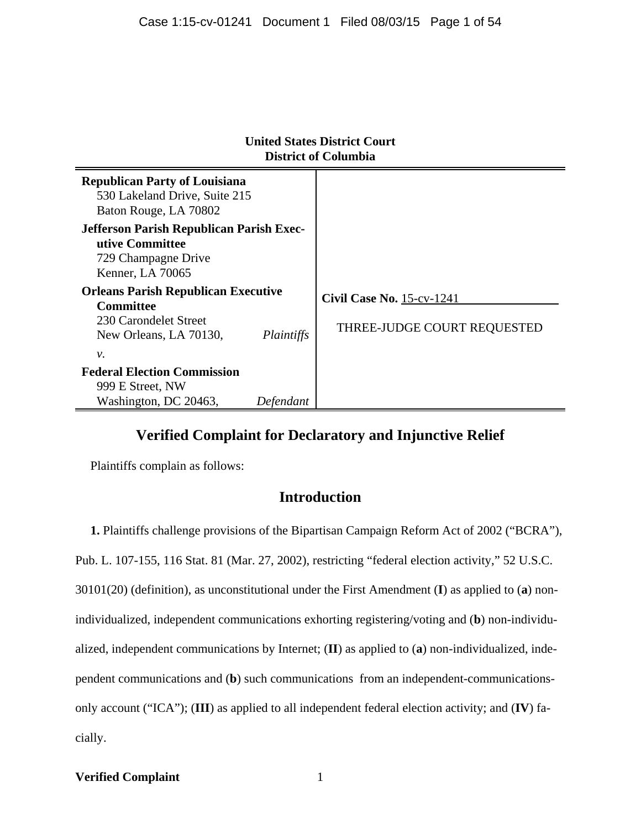| United States District Court<br><b>District of Columbia</b>                                                             |            |                                                                 |
|-------------------------------------------------------------------------------------------------------------------------|------------|-----------------------------------------------------------------|
| <b>Republican Party of Louisiana</b><br>530 Lakeland Drive, Suite 215<br>Baton Rouge, LA 70802                          |            |                                                                 |
| <b>Jefferson Parish Republican Parish Exec-</b><br>utive Committee<br>729 Champagne Drive<br>Kenner, LA 70065           |            |                                                                 |
| <b>Orleans Parish Republican Executive</b><br><b>Committee</b><br>230 Carondelet Street<br>New Orleans, LA 70130,<br>ν. | Plaintiffs | <b>Civil Case No. 15-cv-1241</b><br>THREE-JUDGE COURT REQUESTED |
| <b>Federal Election Commission</b><br>999 E Street, NW<br>Washington, DC 20463,                                         | Defendant  |                                                                 |

# **United States District Co**

# **Verified Complaint for Declaratory and Injunctive Relief**

Plaintiffs complain as follows:

# **Introduction**

**1.** Plaintiffs challenge provisions of the Bipartisan Campaign Reform Act of 2002 ("BCRA"), Pub. L. 107-155, 116 Stat. 81 (Mar. 27, 2002), restricting "federal election activity," 52 U.S.C. 30101(20) (definition), as unconstitutional under the First Amendment (**I**) as applied to (**a**) nonindividualized, independent communications exhorting registering/voting and (**b**) non-individualized, independent communications by Internet; (**II**) as applied to (**a**) non-individualized, independent communications and (**b**) such communications from an independent-communicationsonly account ("ICA"); (**III**) as applied to all independent federal election activity; and (**IV**) facially.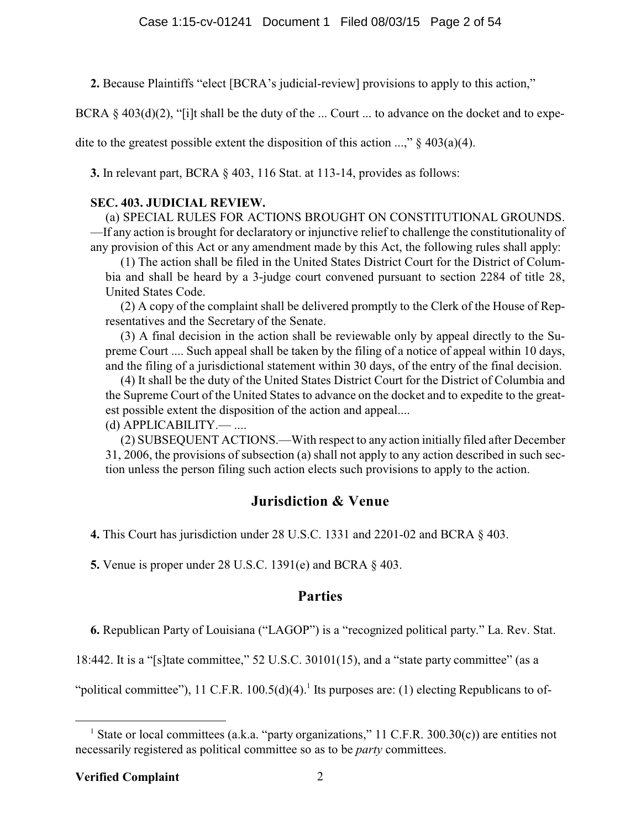**2.** Because Plaintiffs "elect [BCRA's judicial-review] provisions to apply to this action,"

BCRA  $\S$  403(d)(2), "[i]t shall be the duty of the ... Court ... to advance on the docket and to expe-

dite to the greatest possible extent the disposition of this action ...,"  $\S$  403(a)(4).

**3.** In relevant part, BCRA § 403, 116 Stat. at 113-14, provides as follows:

### **SEC. 403. JUDICIAL REVIEW.**

(a) SPECIAL RULES FOR ACTIONS BROUGHT ON CONSTITUTIONAL GROUNDS. —If any action is brought for declaratory or injunctive relief to challenge the constitutionality of any provision of this Act or any amendment made by this Act, the following rules shall apply:

(1) The action shall be filed in the United States District Court for the District of Columbia and shall be heard by a 3-judge court convened pursuant to section 2284 of title 28, United States Code.

(2) A copy of the complaint shall be delivered promptly to the Clerk of the House of Representatives and the Secretary of the Senate.

(3) A final decision in the action shall be reviewable only by appeal directly to the Supreme Court .... Such appeal shall be taken by the filing of a notice of appeal within 10 days, and the filing of a jurisdictional statement within 30 days, of the entry of the final decision.

(4) It shall be the duty of the United States District Court for the District of Columbia and the Supreme Court of the United States to advance on the docket and to expedite to the greatest possible extent the disposition of the action and appeal....

(d) APPLICABILITY.— ....

(2) SUBSEQUENT ACTIONS.—With respect to any action initially filed after December 31, 2006, the provisions of subsection (a) shall not apply to any action described in such section unless the person filing such action elects such provisions to apply to the action.

# **Jurisdiction & Venue**

**4.** This Court has jurisdiction under 28 U.S.C. 1331 and 2201-02 and BCRA § 403.

**5.** Venue is proper under 28 U.S.C. 1391(e) and BCRA § 403.

### **Parties**

**6.** Republican Party of Louisiana ("LAGOP") is a "recognized political party." La. Rev. Stat.

18:442. It is a "[s]tate committee," 52 U.S.C. 30101(15), and a "state party committee" (as a

"political committee"), 11 C.F.R.  $100.5(d)(4)$ .<sup>1</sup> Its purposes are: (1) electing Republicans to of-

<sup>&</sup>lt;sup>1</sup> State or local committees (a.k.a. "party organizations," 11 C.F.R. 300.30(c)) are entities not necessarily registered as political committee so as to be *party* committees.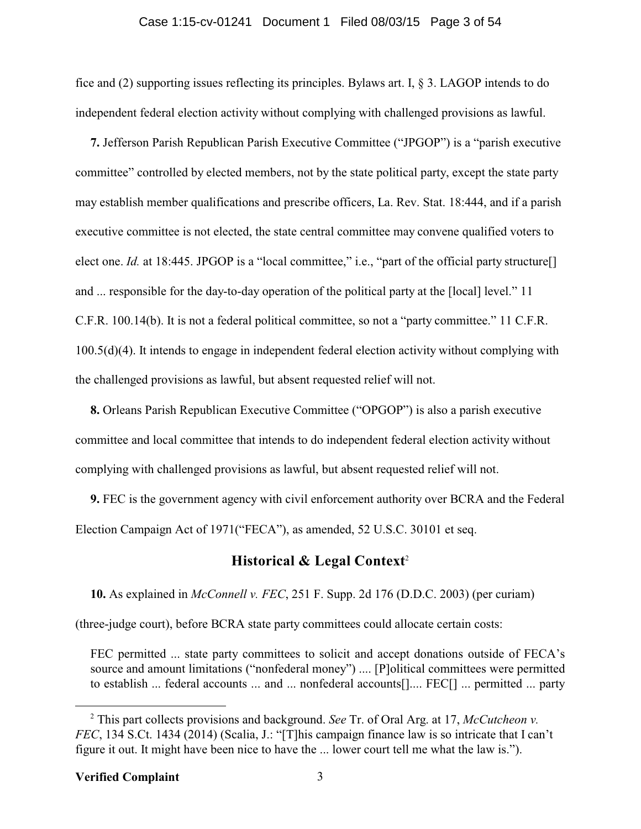#### Case 1:15-cv-01241 Document 1 Filed 08/03/15 Page 3 of 54

fice and (2) supporting issues reflecting its principles. Bylaws art. I, § 3. LAGOP intends to do independent federal election activity without complying with challenged provisions as lawful.

**7.** Jefferson Parish Republican Parish Executive Committee ("JPGOP") is a "parish executive committee" controlled by elected members, not by the state political party, except the state party may establish member qualifications and prescribe officers, La. Rev. Stat. 18:444, and if a parish executive committee is not elected, the state central committee may convene qualified voters to elect one. *Id.* at 18:445. JPGOP is a "local committee," i.e., "part of the official party structure<sup>[]</sup> and ... responsible for the day-to-day operation of the political party at the [local] level." 11 C.F.R. 100.14(b). It is not a federal political committee, so not a "party committee." 11 C.F.R. 100.5(d)(4). It intends to engage in independent federal election activity without complying with the challenged provisions as lawful, but absent requested relief will not.

**8.** Orleans Parish Republican Executive Committee ("OPGOP") is also a parish executive committee and local committee that intends to do independent federal election activity without complying with challenged provisions as lawful, but absent requested relief will not.

**9.** FEC is the government agency with civil enforcement authority over BCRA and the Federal Election Campaign Act of 1971("FECA"), as amended, 52 U.S.C. 30101 et seq.

### **Historical & Legal Context** 2

**10.** As explained in *McConnell v. FEC*, 251 F. Supp. 2d 176 (D.D.C. 2003) (per curiam)

(three-judge court), before BCRA state party committees could allocate certain costs:

FEC permitted ... state party committees to solicit and accept donations outside of FECA's source and amount limitations ("nonfederal money") .... [P]olitical committees were permitted to establish ... federal accounts ... and ... nonfederal accounts[].... FEC[] ... permitted ... party

<sup>2</sup> This part collects provisions and background. *See* Tr. of Oral Arg. at 17, *McCutcheon v. FEC*, 134 S.Ct. 1434 (2014) (Scalia, J.: "[T]his campaign finance law is so intricate that I can't figure it out. It might have been nice to have the ... lower court tell me what the law is.").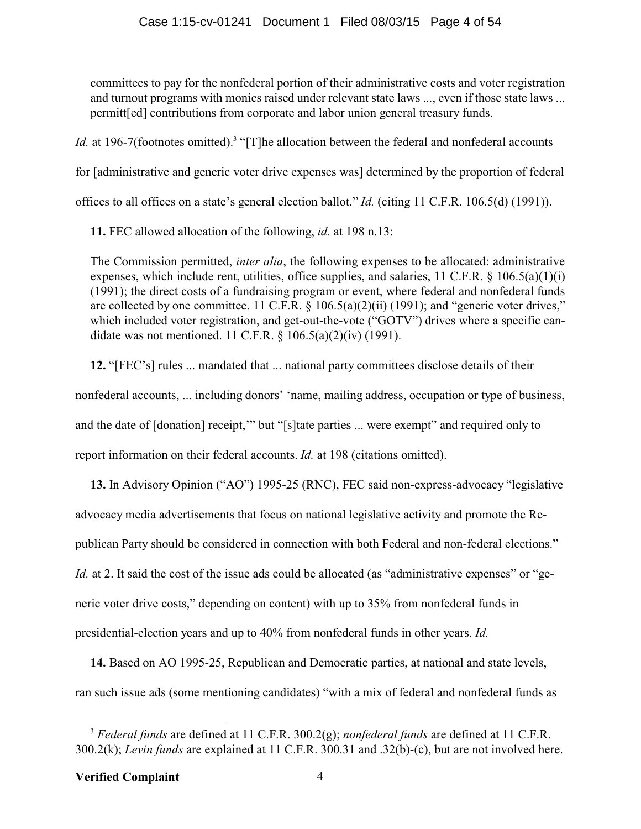committees to pay for the nonfederal portion of their administrative costs and voter registration and turnout programs with monies raised under relevant state laws ..., even if those state laws ... permitt[ed] contributions from corporate and labor union general treasury funds.

Id. at 196-7(footnotes omitted).<sup>3</sup> "[T]he allocation between the federal and nonfederal accounts

for [administrative and generic voter drive expenses was] determined by the proportion of federal

offices to all offices on a state's general election ballot." *Id.* (citing 11 C.F.R. 106.5(d) (1991)).

**11.** FEC allowed allocation of the following, *id.* at 198 n.13:

The Commission permitted, *inter alia*, the following expenses to be allocated: administrative expenses, which include rent, utilities, office supplies, and salaries, 11 C.F.R. § 106.5(a)(1)(i) (1991); the direct costs of a fundraising program or event, where federal and nonfederal funds are collected by one committee. 11 C.F.R. § 106.5(a)(2)(ii) (1991); and "generic voter drives," which included voter registration, and get-out-the-vote ("GOTV") drives where a specific candidate was not mentioned. 11 C.F.R. § 106.5(a)(2)(iv) (1991).

**12.** "[FEC's] rules ... mandated that ... national party committees disclose details of their nonfederal accounts, ... including donors' 'name, mailing address, occupation or type of business, and the date of [donation] receipt," but "[s]tate parties ... were exempt" and required only to report information on their federal accounts. *Id.* at 198 (citations omitted).

**13.** In Advisory Opinion ("AO") 1995-25 (RNC), FEC said non-express-advocacy "legislative advocacy media advertisements that focus on national legislative activity and promote the Republican Party should be considered in connection with both Federal and non-federal elections." *Id.* at 2. It said the cost of the issue ads could be allocated (as "administrative expenses" or "generic voter drive costs," depending on content) with up to 35% from nonfederal funds in presidential-election years and up to 40% from nonfederal funds in other years. *Id.*

**14.** Based on AO 1995-25, Republican and Democratic parties, at national and state levels, ran such issue ads (some mentioning candidates) "with a mix of federal and nonfederal funds as

<sup>3</sup> *Federal funds* are defined at 11 C.F.R. 300.2(g); *nonfederal funds* are defined at 11 C.F.R. 300.2(k); *Levin funds* are explained at 11 C.F.R. 300.31 and .32(b)-(c), but are not involved here.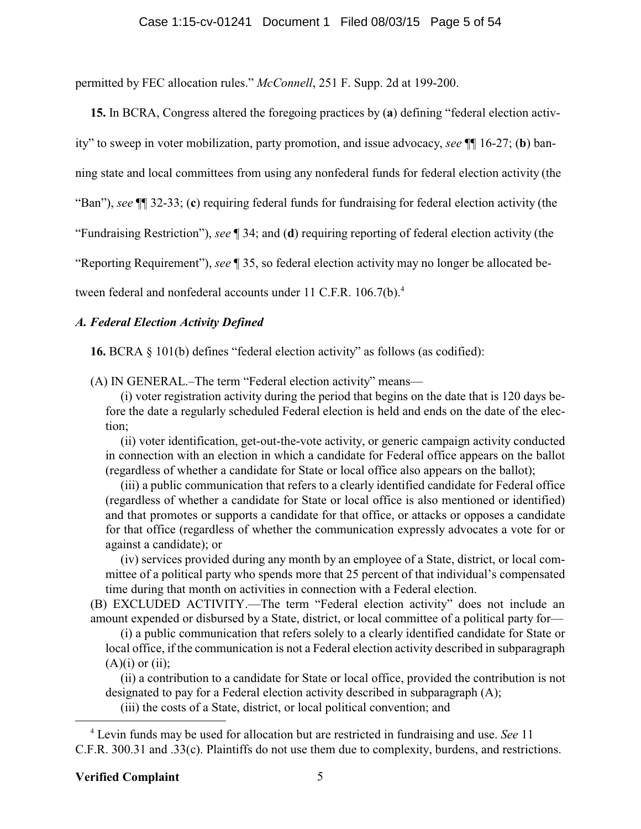permitted by FEC allocation rules." *McConnell*, 251 F. Supp. 2d at 199-200.

**15.** In BCRA, Congress altered the foregoing practices by (**a**) defining "federal election activ-

ity" to sweep in voter mobilization, party promotion, and issue advocacy, *see* ¶¶ 16-27; (**b**) ban-

ning state and local committees from using any nonfederal funds for federal election activity (the

"Ban"), *see* ¶¶ 32-33; (**c**) requiring federal funds for fundraising for federal election activity (the

"Fundraising Restriction"), *see* ¶ 34; and (**d**) requiring reporting of federal election activity (the

"Reporting Requirement"), *see* ¶ 35, so federal election activity may no longer be allocated be-

tween federal and nonfederal accounts under 11 C.F.R. 106.7(b).<sup>4</sup>

### *A. Federal Election Activity Defined*

**16.** BCRA § 101(b) defines "federal election activity" as follows (as codified):

(A) IN GENERAL.–The term "Federal election activity" means—

(i) voter registration activity during the period that begins on the date that is 120 days before the date a regularly scheduled Federal election is held and ends on the date of the election;

(ii) voter identification, get-out-the-vote activity, or generic campaign activity conducted in connection with an election in which a candidate for Federal office appears on the ballot (regardless of whether a candidate for State or local office also appears on the ballot);

(iii) a public communication that refers to a clearly identified candidate for Federal office (regardless of whether a candidate for State or local office is also mentioned or identified) and that promotes or supports a candidate for that office, or attacks or opposes a candidate for that office (regardless of whether the communication expressly advocates a vote for or against a candidate); or

(iv) services provided during any month by an employee of a State, district, or local committee of a political party who spends more that 25 percent of that individual's compensated time during that month on activities in connection with a Federal election.

(B) EXCLUDED ACTIVITY.—The term "Federal election activity" does not include an amount expended or disbursed by a State, district, or local committee of a political party for—

(i) a public communication that refers solely to a clearly identified candidate for State or local office, if the communication is not a Federal election activity described in subparagraph  $(A)(i)$  or  $(ii)$ :

(ii) a contribution to a candidate for State or local office, provided the contribution is not designated to pay for a Federal election activity described in subparagraph (A);

(iii) the costs of a State, district, or local political convention; and

<sup>4</sup> Levin funds may be used for allocation but are restricted in fundraising and use. *See* 11 C.F.R. 300.31 and .33(c). Plaintiffs do not use them due to complexity, burdens, and restrictions.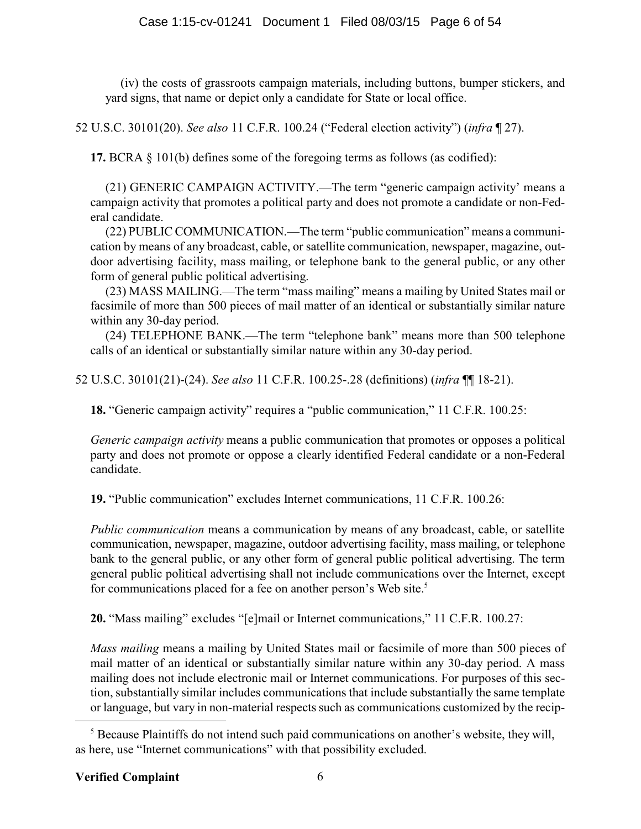(iv) the costs of grassroots campaign materials, including buttons, bumper stickers, and yard signs, that name or depict only a candidate for State or local office.

52 U.S.C. 30101(20). *See also* 11 C.F.R. 100.24 ("Federal election activity") (*infra* ¶ 27).

**17.** BCRA § 101(b) defines some of the foregoing terms as follows (as codified):

(21) GENERIC CAMPAIGN ACTIVITY.—The term "generic campaign activity' means a campaign activity that promotes a political party and does not promote a candidate or non-Federal candidate.

(22) PUBLIC COMMUNICATION.—The term "public communication" means a communication by means of any broadcast, cable, or satellite communication, newspaper, magazine, outdoor advertising facility, mass mailing, or telephone bank to the general public, or any other form of general public political advertising.

(23) MASS MAILING.—The term "mass mailing" means a mailing by United States mail or facsimile of more than 500 pieces of mail matter of an identical or substantially similar nature within any 30-day period.

(24) TELEPHONE BANK.—The term "telephone bank" means more than 500 telephone calls of an identical or substantially similar nature within any 30-day period.

52 U.S.C. 30101(21)-(24). *See also* 11 C.F.R. 100.25-.28 (definitions) (*infra* ¶¶ 18-21).

**18.** "Generic campaign activity" requires a "public communication," 11 C.F.R. 100.25:

*Generic campaign activity* means a public communication that promotes or opposes a political party and does not promote or oppose a clearly identified Federal candidate or a non-Federal candidate.

**19.** "Public communication" excludes Internet communications, 11 C.F.R. 100.26:

*Public communication* means a communication by means of any broadcast, cable, or satellite communication, newspaper, magazine, outdoor advertising facility, mass mailing, or telephone bank to the general public, or any other form of general public political advertising. The term general public political advertising shall not include communications over the Internet, except for communications placed for a fee on another person's Web site.<sup>5</sup>

**20.** "Mass mailing" excludes "[e]mail or Internet communications," 11 C.F.R. 100.27:

*Mass mailing* means a mailing by United States mail or facsimile of more than 500 pieces of mail matter of an identical or substantially similar nature within any 30-day period. A mass mailing does not include electronic mail or Internet communications. For purposes of this section, substantially similar includes communications that include substantially the same template or language, but vary in non-material respects such as communications customized by the recip-

<sup>&</sup>lt;sup>5</sup> Because Plaintiffs do not intend such paid communications on another's website, they will, as here, use "Internet communications" with that possibility excluded.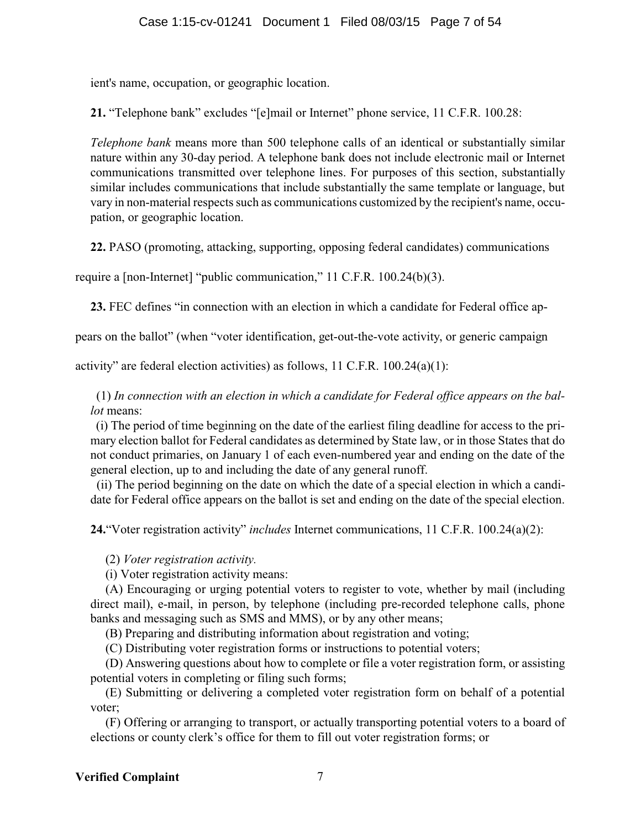ient's name, occupation, or geographic location.

**21.** "Telephone bank" excludes "[e]mail or Internet" phone service, 11 C.F.R. 100.28:

*Telephone bank* means more than 500 telephone calls of an identical or substantially similar nature within any 30-day period. A telephone bank does not include electronic mail or Internet communications transmitted over telephone lines. For purposes of this section, substantially similar includes communications that include substantially the same template or language, but vary in non-material respects such as communications customized by the recipient's name, occupation, or geographic location.

**22.** PASO (promoting, attacking, supporting, opposing federal candidates) communications

require a [non-Internet] "public communication," 11 C.F.R. 100.24(b)(3).

**23.** FEC defines "in connection with an election in which a candidate for Federal office ap-

pears on the ballot" (when "voter identification, get-out-the-vote activity, or generic campaign

activity" are federal election activities) as follows,  $11$  C.F.R.  $100.24(a)(1)$ :

(1) *In connection with an election in which a candidate for Federal office appears on the ballot* means:

(i) The period of time beginning on the date of the earliest filing deadline for access to the primary election ballot for Federal candidates as determined by State law, or in those States that do not conduct primaries, on January 1 of each even-numbered year and ending on the date of the general election, up to and including the date of any general runoff.

 (ii) The period beginning on the date on which the date of a special election in which a candidate for Federal office appears on the ballot is set and ending on the date of the special election.

**24.**"Voter registration activity" *includes* Internet communications, 11 C.F.R. 100.24(a)(2):

(2) *Voter registration activity.*

(i) Voter registration activity means:

(A) Encouraging or urging potential voters to register to vote, whether by mail (including direct mail), e-mail, in person, by telephone (including pre-recorded telephone calls, phone banks and messaging such as SMS and MMS), or by any other means;

(B) Preparing and distributing information about registration and voting;

(C) Distributing voter registration forms or instructions to potential voters;

(D) Answering questions about how to complete or file a voter registration form, or assisting potential voters in completing or filing such forms;

(E) Submitting or delivering a completed voter registration form on behalf of a potential voter;

(F) Offering or arranging to transport, or actually transporting potential voters to a board of elections or county clerk's office for them to fill out voter registration forms; or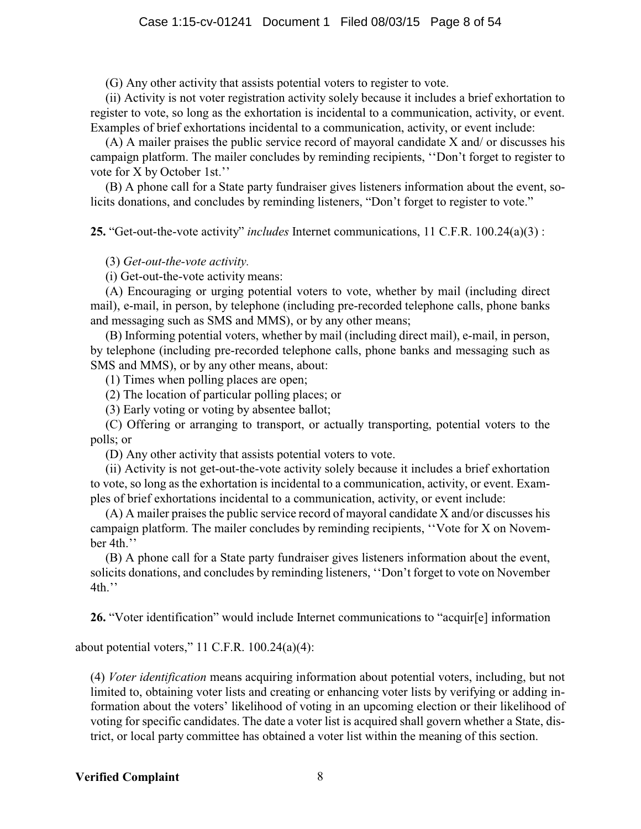(G) Any other activity that assists potential voters to register to vote.

(ii) Activity is not voter registration activity solely because it includes a brief exhortation to register to vote, so long as the exhortation is incidental to a communication, activity, or event. Examples of brief exhortations incidental to a communication, activity, or event include:

(A) A mailer praises the public service record of mayoral candidate X and/ or discusses his campaign platform. The mailer concludes by reminding recipients, ''Don't forget to register to vote for X by October 1st.''

(B) A phone call for a State party fundraiser gives listeners information about the event, solicits donations, and concludes by reminding listeners, "Don't forget to register to vote."

**25.** "Get-out-the-vote activity" *includes* Internet communications, 11 C.F.R. 100.24(a)(3) :

(3) *Get-out-the-vote activity.*

(i) Get-out-the-vote activity means:

(A) Encouraging or urging potential voters to vote, whether by mail (including direct mail), e-mail, in person, by telephone (including pre-recorded telephone calls, phone banks and messaging such as SMS and MMS), or by any other means;

(B) Informing potential voters, whether by mail (including direct mail), e-mail, in person, by telephone (including pre-recorded telephone calls, phone banks and messaging such as SMS and MMS), or by any other means, about:

(1) Times when polling places are open;

(2) The location of particular polling places; or

(3) Early voting or voting by absentee ballot;

(C) Offering or arranging to transport, or actually transporting, potential voters to the polls; or

(D) Any other activity that assists potential voters to vote.

(ii) Activity is not get-out-the-vote activity solely because it includes a brief exhortation to vote, so long as the exhortation is incidental to a communication, activity, or event. Examples of brief exhortations incidental to a communication, activity, or event include:

(A) A mailer praises the public service record of mayoral candidate X and/or discusses his campaign platform. The mailer concludes by reminding recipients, ''Vote for X on November 4th.''

(B) A phone call for a State party fundraiser gives listeners information about the event, solicits donations, and concludes by reminding listeners, ''Don't forget to vote on November 4th.''

**26.** "Voter identification" would include Internet communications to "acquir[e] information

about potential voters," 11 C.F.R.  $100.24(a)(4)$ :

(4) *Voter identification* means acquiring information about potential voters, including, but not limited to, obtaining voter lists and creating or enhancing voter lists by verifying or adding information about the voters' likelihood of voting in an upcoming election or their likelihood of voting for specific candidates. The date a voter list is acquired shall govern whether a State, district, or local party committee has obtained a voter list within the meaning of this section.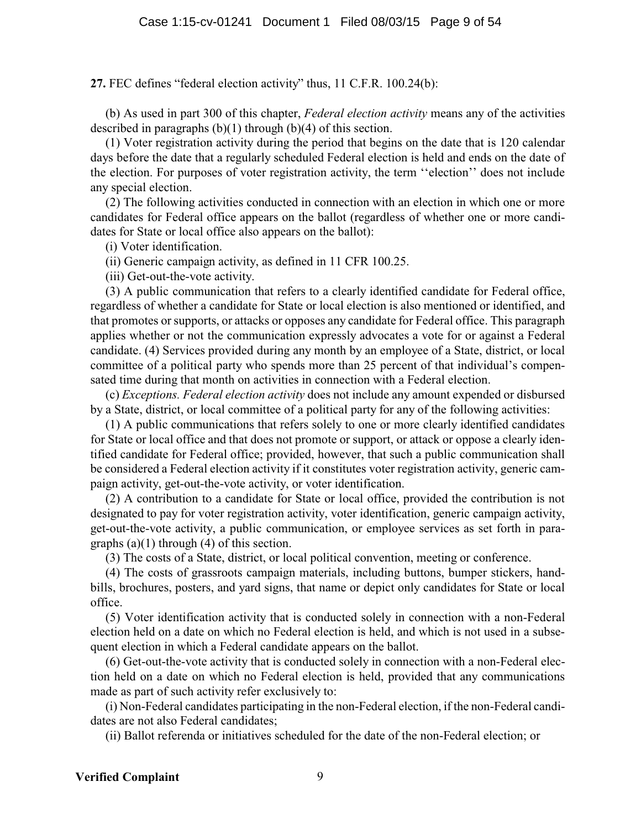**27.** FEC defines "federal election activity" thus, 11 C.F.R. 100.24(b):

(b) As used in part 300 of this chapter, *Federal election activity* means any of the activities described in paragraphs (b)(1) through (b)(4) of this section.

(1) Voter registration activity during the period that begins on the date that is 120 calendar days before the date that a regularly scheduled Federal election is held and ends on the date of the election. For purposes of voter registration activity, the term ''election'' does not include any special election.

(2) The following activities conducted in connection with an election in which one or more candidates for Federal office appears on the ballot (regardless of whether one or more candidates for State or local office also appears on the ballot):

(i) Voter identification.

(ii) Generic campaign activity, as defined in 11 CFR 100.25.

(iii) Get-out-the-vote activity.

(3) A public communication that refers to a clearly identified candidate for Federal office, regardless of whether a candidate for State or local election is also mentioned or identified, and that promotes or supports, or attacks or opposes any candidate for Federal office. This paragraph applies whether or not the communication expressly advocates a vote for or against a Federal candidate. (4) Services provided during any month by an employee of a State, district, or local committee of a political party who spends more than 25 percent of that individual's compensated time during that month on activities in connection with a Federal election.

(c) *Exceptions. Federal election activity* does not include any amount expended or disbursed by a State, district, or local committee of a political party for any of the following activities:

(1) A public communications that refers solely to one or more clearly identified candidates for State or local office and that does not promote or support, or attack or oppose a clearly identified candidate for Federal office; provided, however, that such a public communication shall be considered a Federal election activity if it constitutes voter registration activity, generic campaign activity, get-out-the-vote activity, or voter identification.

(2) A contribution to a candidate for State or local office, provided the contribution is not designated to pay for voter registration activity, voter identification, generic campaign activity, get-out-the-vote activity, a public communication, or employee services as set forth in paragraphs  $(a)(1)$  through  $(4)$  of this section.

(3) The costs of a State, district, or local political convention, meeting or conference.

(4) The costs of grassroots campaign materials, including buttons, bumper stickers, handbills, brochures, posters, and yard signs, that name or depict only candidates for State or local office.

(5) Voter identification activity that is conducted solely in connection with a non-Federal election held on a date on which no Federal election is held, and which is not used in a subsequent election in which a Federal candidate appears on the ballot.

(6) Get-out-the-vote activity that is conducted solely in connection with a non-Federal election held on a date on which no Federal election is held, provided that any communications made as part of such activity refer exclusively to:

(i) Non-Federal candidates participating in the non-Federal election, if the non-Federal candidates are not also Federal candidates;

(ii) Ballot referenda or initiatives scheduled for the date of the non-Federal election; or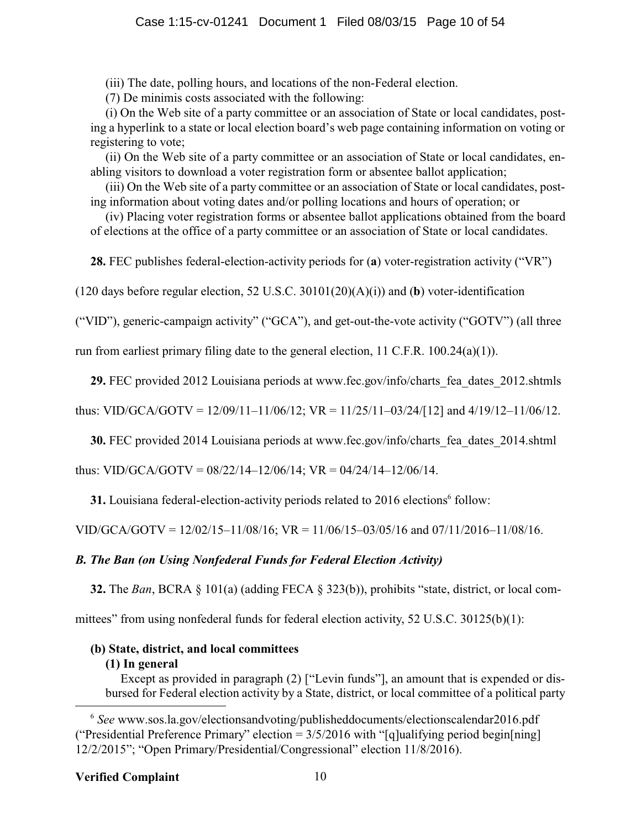(iii) The date, polling hours, and locations of the non-Federal election.

(7) De minimis costs associated with the following:

(i) On the Web site of a party committee or an association of State or local candidates, posting a hyperlink to a state or local election board's web page containing information on voting or registering to vote;

(ii) On the Web site of a party committee or an association of State or local candidates, enabling visitors to download a voter registration form or absentee ballot application;

(iii) On the Web site of a party committee or an association of State or local candidates, posting information about voting dates and/or polling locations and hours of operation; or

(iv) Placing voter registration forms or absentee ballot applications obtained from the board of elections at the office of a party committee or an association of State or local candidates.

**28.** FEC publishes federal-election-activity periods for (**a**) voter-registration activity ("VR")

(120 days before regular election, 52 U.S.C. 30101(20)(A)(i)) and (**b**) voter-identification

("VID"), generic-campaign activity" ("GCA"), and get-out-the-vote activity ("GOTV") (all three

run from earliest primary filing date to the general election, 11 C.F.R. 100.24(a)(1)).

**29.** FEC provided 2012 Louisiana periods at www.fec.gov/info/charts\_fea\_dates\_2012.shtmls

thus: VID/GCA/GOTV =  $12/09/11-11/06/12$ ; VR =  $11/25/11-03/24/112$  and  $4/19/12-11/06/12$ .

**30.** FEC provided 2014 Louisiana periods at www.fec.gov/info/charts\_fea\_dates\_2014.shtml

thus: VID/GCA/GOTV =  $08/22/14-12/06/14$ ; VR =  $04/24/14-12/06/14$ .

**31.** Louisiana federal-election-activity periods related to 2016 elections<sup>6</sup> follow:

VID/GCA/GOTV = 12/02/15–11/08/16; VR = 11/06/15–03/05/16 and 07/11/2016–11/08/16.

### *B. The Ban (on Using Nonfederal Funds for Federal Election Activity)*

**32.** The *Ban*, BCRA § 101(a) (adding FECA § 323(b)), prohibits "state, district, or local com-

mittees" from using nonfederal funds for federal election activity, 52 U.S.C. 30125(b)(1):

### **(b) State, district, and local committees**

### **(1) In general**

Except as provided in paragraph (2) ["Levin funds"], an amount that is expended or disbursed for Federal election activity by a State, district, or local committee of a political party

<sup>6</sup> *See* www.sos.la.gov/electionsandvoting/publisheddocuments/electionscalendar2016.pdf ("Presidential Preference Primary" election =  $3/5/2016$  with "[q]ualifying period begin[ning] 12/2/2015"; "Open Primary/Presidential/Congressional" election 11/8/2016).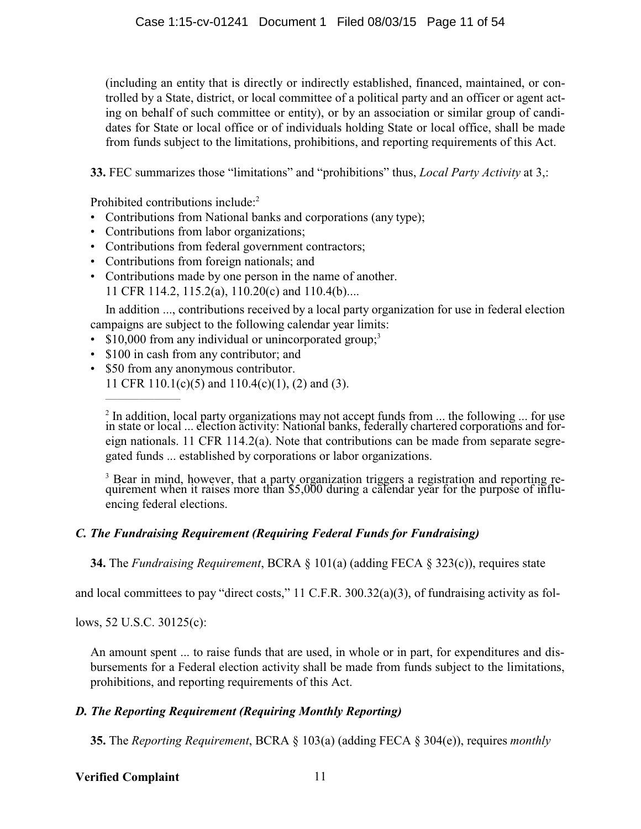(including an entity that is directly or indirectly established, financed, maintained, or controlled by a State, district, or local committee of a political party and an officer or agent acting on behalf of such committee or entity), or by an association or similar group of candidates for State or local office or of individuals holding State or local office, shall be made from funds subject to the limitations, prohibitions, and reporting requirements of this Act.

**33.** FEC summarizes those "limitations" and "prohibitions" thus, *Local Party Activity* at 3,:

Prohibited contributions include:<sup>2</sup>

- Contributions from National banks and corporations (any type);
- Contributions from labor organizations;
- Contributions from federal government contractors;
- Contributions from foreign nationals; and
- Contributions made by one person in the name of another. 11 CFR 114.2, 115.2(a), 110.20(c) and 110.4(b)....

In addition ..., contributions received by a local party organization for use in federal election campaigns are subject to the following calendar year limits:

- \$10,000 from any individual or unincorporated group;<sup>3</sup>
- \$100 in cash from any contributor; and
- \$50 from any anonymous contributor. 11 CFR 110.1(c)(5) and 110.4(c)(1), (2) and (3).

 $2 \text{ In addition, local party organizations may not accept funds from ... the following ... for use }$ in state or local ... election activity: National banks, federally chartered corporations and foreign nationals. 11 CFR 114.2(a). Note that contributions can be made from separate segregated funds ... established by corporations or labor organizations.

<sup>3</sup> Bear in mind, however, that a party organization triggers a registration and reporting requirement when it raises more than \$5,000 during a calendar year for the purpose of influencing federal elections.

### *C. The Fundraising Requirement (Requiring Federal Funds for Fundraising)*

**34.** The *Fundraising Requirement*, BCRA § 101(a) (adding FECA § 323(c)), requires state

and local committees to pay "direct costs," 11 C.F.R. 300.32(a)(3), of fundraising activity as fol-

lows, 52 U.S.C. 30125(c):

\_\_\_\_\_\_\_\_\_\_\_\_\_\_\_\_\_\_\_\_

An amount spent ... to raise funds that are used, in whole or in part, for expenditures and disbursements for a Federal election activity shall be made from funds subject to the limitations, prohibitions, and reporting requirements of this Act.

### *D. The Reporting Requirement (Requiring Monthly Reporting)*

**35.** The *Reporting Requirement*, BCRA § 103(a) (adding FECA § 304(e)), requires *monthly*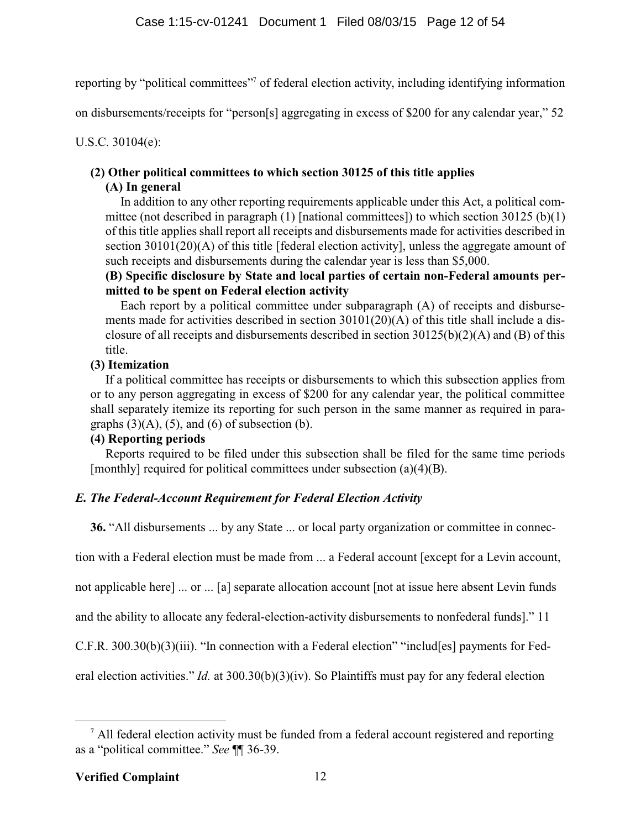reporting by "political committees"<sup>7</sup> of federal election activity, including identifying information

on disbursements/receipts for "person[s] aggregating in excess of \$200 for any calendar year," 52

U.S.C. 30104(e):

### **(2) Other political committees to which section 30125 of this title applies**

### **(A) In general**

In addition to any other reporting requirements applicable under this Act, a political committee (not described in paragraph (1) [national committees]) to which section 30125 (b)(1) of this title applies shall report all receipts and disbursements made for activities described in section 30101(20)(A) of this title [federal election activity], unless the aggregate amount of such receipts and disbursements during the calendar year is less than \$5,000.

**(B) Specific disclosure by State and local parties of certain non-Federal amounts permitted to be spent on Federal election activity**

Each report by a political committee under subparagraph (A) of receipts and disbursements made for activities described in section 30101(20)(A) of this title shall include a disclosure of all receipts and disbursements described in section 30125(b)(2)(A) and (B) of this title.

### **(3) Itemization**

If a political committee has receipts or disbursements to which this subsection applies from or to any person aggregating in excess of \$200 for any calendar year, the political committee shall separately itemize its reporting for such person in the same manner as required in paragraphs  $(3)(A)$ ,  $(5)$ , and  $(6)$  of subsection  $(b)$ .

### **(4) Reporting periods**

Reports required to be filed under this subsection shall be filed for the same time periods [monthly] required for political committees under subsection (a)(4)(B).

### *E. The Federal-Account Requirement for Federal Election Activity*

**36.** "All disbursements ... by any State ... or local party organization or committee in connec-

tion with a Federal election must be made from ... a Federal account [except for a Levin account,

not applicable here] ... or ... [a] separate allocation account [not at issue here absent Levin funds

and the ability to allocate any federal-election-activity disbursements to nonfederal funds]." 11

C.F.R. 300.30(b)(3)(iii). "In connection with a Federal election" "includ[es] payments for Fed-

eral election activities." *Id.* at 300.30(b)(3)(iv). So Plaintiffs must pay for any federal election

 $<sup>7</sup>$  All federal election activity must be funded from a federal account registered and reporting</sup> as a "political committee." *See* ¶¶ 36-39.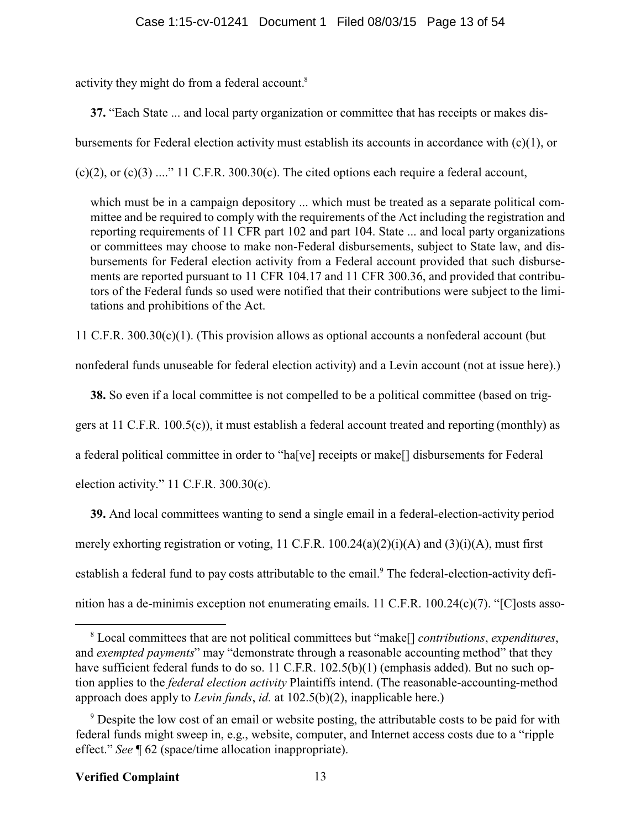activity they might do from a federal account.<sup>8</sup>

**37.** "Each State ... and local party organization or committee that has receipts or makes dis-

bursements for Federal election activity must establish its accounts in accordance with  $(c)(1)$ , or

 $(c)(2)$ , or  $(c)(3)$  ...." 11 C.F.R. 300.30 $(c)$ . The cited options each require a federal account,

which must be in a campaign depository ... which must be treated as a separate political committee and be required to comply with the requirements of the Act including the registration and reporting requirements of 11 CFR part 102 and part 104. State ... and local party organizations or committees may choose to make non-Federal disbursements, subject to State law, and disbursements for Federal election activity from a Federal account provided that such disbursements are reported pursuant to 11 CFR 104.17 and 11 CFR 300.36, and provided that contributors of the Federal funds so used were notified that their contributions were subject to the limitations and prohibitions of the Act.

11 C.F.R.  $300.30(c)(1)$ . (This provision allows as optional accounts a nonfederal account (but

nonfederal funds unuseable for federal election activity) and a Levin account (not at issue here).)

**38.** So even if a local committee is not compelled to be a political committee (based on trig-

gers at 11 C.F.R. 100.5(c)), it must establish a federal account treated and reporting (monthly) as

a federal political committee in order to "ha[ve] receipts or make[] disbursements for Federal

election activity." 11 C.F.R. 300.30(c).

**39.** And local committees wanting to send a single email in a federal-election-activity period merely exhorting registration or voting, 11 C.F.R. 100.24(a)(2)(i)(A) and (3)(i)(A), must first establish a federal fund to pay costs attributable to the email.<sup>9</sup> The federal-election-activity definition has a de-minimis exception not enumerating emails. 11 C.F.R. 100.24(c)(7). "[C]osts asso-

<sup>8</sup> Local committees that are not political committees but "make[] *contributions*, *expenditures*, and *exempted payments*" may "demonstrate through a reasonable accounting method" that they have sufficient federal funds to do so. 11 C.F.R. 102.5(b)(1) (emphasis added). But no such option applies to the *federal election activity* Plaintiffs intend. (The reasonable-accounting-method approach does apply to *Levin funds*, *id.* at 102.5(b)(2), inapplicable here.)

<sup>&</sup>lt;sup>9</sup> Despite the low cost of an email or website posting, the attributable costs to be paid for with federal funds might sweep in, e.g., website, computer, and Internet access costs due to a "ripple effect." *See* ¶ 62 (space/time allocation inappropriate).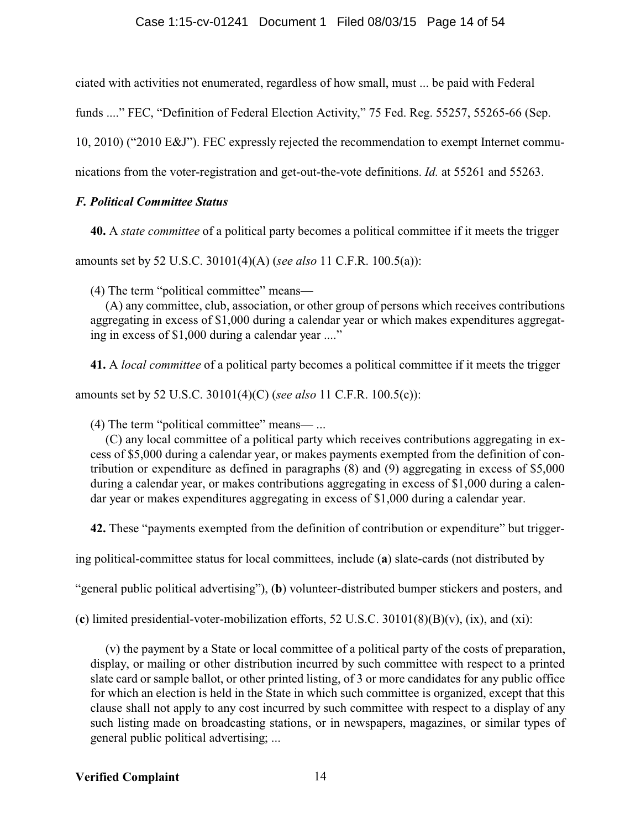ciated with activities not enumerated, regardless of how small, must ... be paid with Federal

funds ...." FEC, "Definition of Federal Election Activity," 75 Fed. Reg. 55257, 55265-66 (Sep.

10, 2010) ("2010 E&J"). FEC expressly rejected the recommendation to exempt Internet commu-

nications from the voter-registration and get-out-the-vote definitions. *Id.* at 55261 and 55263.

### *F. Political Committee Status*

**40.** A *state committee* of a political party becomes a political committee if it meets the trigger

amounts set by 52 U.S.C. 30101(4)(A) (*see also* 11 C.F.R. 100.5(a)):

(4) The term "political committee" means—

(A) any committee, club, association, or other group of persons which receives contributions aggregating in excess of \$1,000 during a calendar year or which makes expenditures aggregating in excess of \$1,000 during a calendar year ...."

**41.** A *local committee* of a political party becomes a political committee if it meets the trigger

amounts set by 52 U.S.C. 30101(4)(C) (*see also* 11 C.F.R. 100.5(c)):

(4) The term "political committee" means— ...

(C) any local committee of a political party which receives contributions aggregating in excess of \$5,000 during a calendar year, or makes payments exempted from the definition of contribution or expenditure as defined in paragraphs (8) and (9) aggregating in excess of \$5,000 during a calendar year, or makes contributions aggregating in excess of \$1,000 during a calendar year or makes expenditures aggregating in excess of \$1,000 during a calendar year.

**42.** These "payments exempted from the definition of contribution or expenditure" but trigger-

ing political-committee status for local committees, include (**a**) slate-cards (not distributed by

"general public political advertising"), (**b**) volunteer-distributed bumper stickers and posters, and

(**c**) limited presidential-voter-mobilization efforts, 52 U.S.C. 30101(8)(B)(v), (ix), and (xi):

(v) the payment by a State or local committee of a political party of the costs of preparation, display, or mailing or other distribution incurred by such committee with respect to a printed slate card or sample ballot, or other printed listing, of 3 or more candidates for any public office for which an election is held in the State in which such committee is organized, except that this clause shall not apply to any cost incurred by such committee with respect to a display of any such listing made on broadcasting stations, or in newspapers, magazines, or similar types of general public political advertising; ...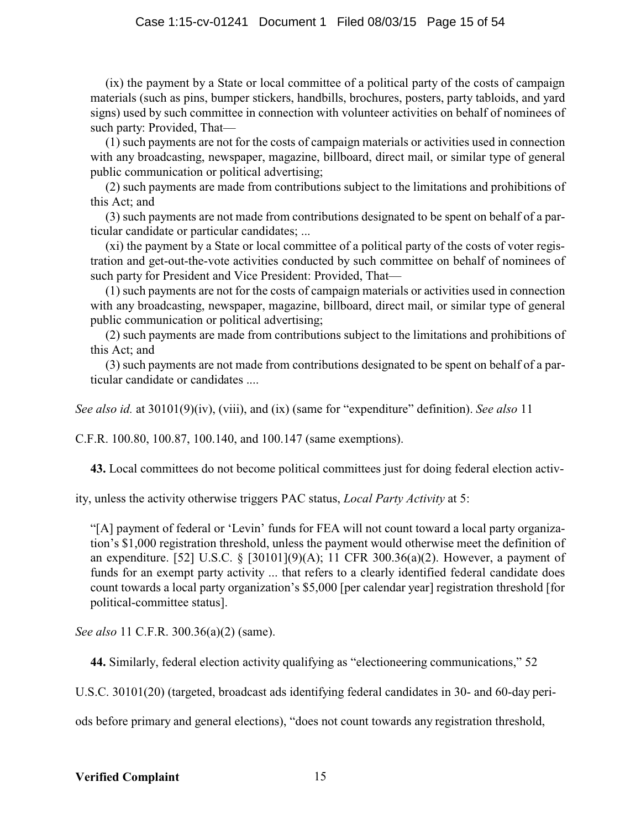### Case 1:15-cv-01241 Document 1 Filed 08/03/15 Page 15 of 54

(ix) the payment by a State or local committee of a political party of the costs of campaign materials (such as pins, bumper stickers, handbills, brochures, posters, party tabloids, and yard signs) used by such committee in connection with volunteer activities on behalf of nominees of such party: Provided, That—

(1) such payments are not for the costs of campaign materials or activities used in connection with any broadcasting, newspaper, magazine, billboard, direct mail, or similar type of general public communication or political advertising;

(2) such payments are made from contributions subject to the limitations and prohibitions of this Act; and

(3) such payments are not made from contributions designated to be spent on behalf of a particular candidate or particular candidates; ...

(xi) the payment by a State or local committee of a political party of the costs of voter registration and get-out-the-vote activities conducted by such committee on behalf of nominees of such party for President and Vice President: Provided, That-

(1) such payments are not for the costs of campaign materials or activities used in connection with any broadcasting, newspaper, magazine, billboard, direct mail, or similar type of general public communication or political advertising;

(2) such payments are made from contributions subject to the limitations and prohibitions of this Act; and

(3) such payments are not made from contributions designated to be spent on behalf of a particular candidate or candidates ....

*See also id.* at 30101(9)(iv), (viii), and (ix) (same for "expenditure" definition). *See also* 11

C.F.R. 100.80, 100.87, 100.140, and 100.147 (same exemptions).

**43.** Local committees do not become political committees just for doing federal election activ-

ity, unless the activity otherwise triggers PAC status, *Local Party Activity* at 5:

"[A] payment of federal or 'Levin' funds for FEA will not count toward a local party organization's \$1,000 registration threshold, unless the payment would otherwise meet the definition of an expenditure. [52] U.S.C. § [30101](9)(A); 11 CFR 300.36(a)(2). However, a payment of funds for an exempt party activity ... that refers to a clearly identified federal candidate does count towards a local party organization's \$5,000 [per calendar year] registration threshold [for political-committee status].

*See also* 11 C.F.R. 300.36(a)(2) (same).

**44.** Similarly, federal election activity qualifying as "electioneering communications," 52

U.S.C. 30101(20) (targeted, broadcast ads identifying federal candidates in 30- and 60-day peri-

ods before primary and general elections), "does not count towards any registration threshold,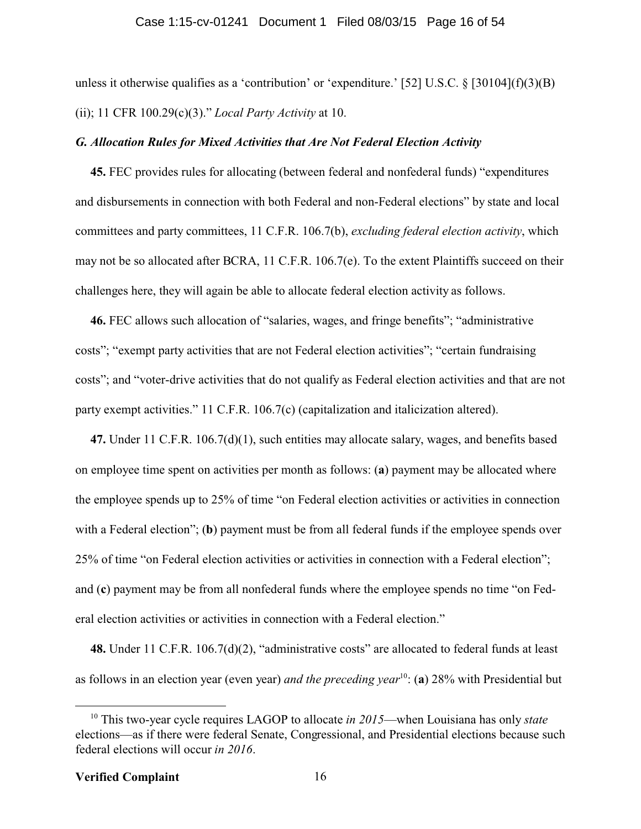#### Case 1:15-cv-01241 Document 1 Filed 08/03/15 Page 16 of 54

unless it otherwise qualifies as a 'contribution' or 'expenditure.' [52] U.S.C. § [30104](f)(3)(B) (ii); 11 CFR 100.29(c)(3)." *Local Party Activity* at 10.

#### *G. Allocation Rules for Mixed Activities that Are Not Federal Election Activity*

**45.** FEC provides rules for allocating (between federal and nonfederal funds) "expenditures and disbursements in connection with both Federal and non-Federal elections" by state and local committees and party committees, 11 C.F.R. 106.7(b), *excluding federal election activity*, which may not be so allocated after BCRA, 11 C.F.R. 106.7(e). To the extent Plaintiffs succeed on their challenges here, they will again be able to allocate federal election activity as follows.

**46.** FEC allows such allocation of "salaries, wages, and fringe benefits"; "administrative costs"; "exempt party activities that are not Federal election activities"; "certain fundraising costs"; and "voter-drive activities that do not qualify as Federal election activities and that are not party exempt activities." 11 C.F.R. 106.7(c) (capitalization and italicization altered).

**47.** Under 11 C.F.R. 106.7(d)(1), such entities may allocate salary, wages, and benefits based on employee time spent on activities per month as follows: (**a**) payment may be allocated where the employee spends up to 25% of time "on Federal election activities or activities in connection with a Federal election"; (**b**) payment must be from all federal funds if the employee spends over 25% of time "on Federal election activities or activities in connection with a Federal election"; and (**c**) payment may be from all nonfederal funds where the employee spends no time "on Federal election activities or activities in connection with a Federal election."

**48.** Under 11 C.F.R. 106.7(d)(2), "administrative costs" are allocated to federal funds at least as follows in an election year (even year) *and the preceding year*<sup>10</sup>: (a) 28% with Presidential but

<sup>10</sup> This two-year cycle requires LAGOP to allocate *in 2015*—when Louisiana has only *state* elections—as if there were federal Senate, Congressional, and Presidential elections because such federal elections will occur *in 2016*.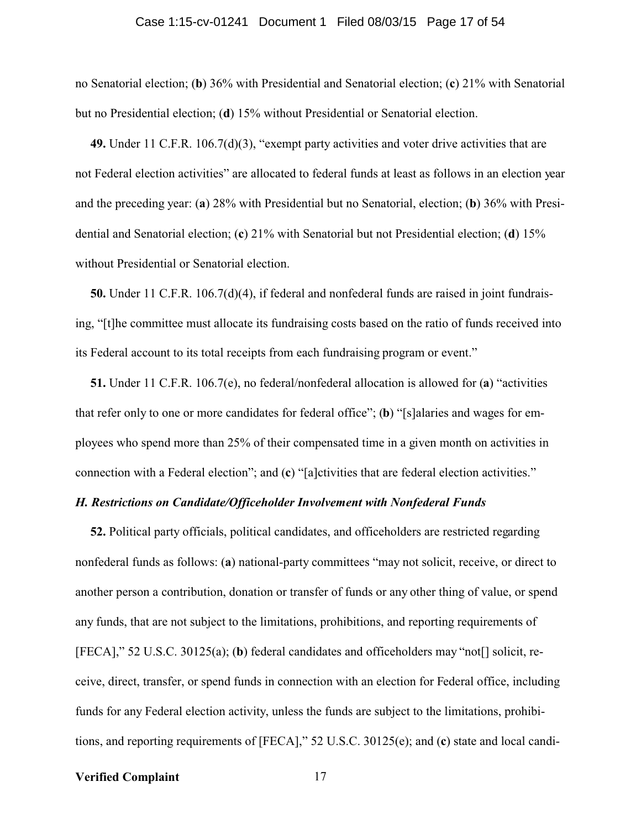#### Case 1:15-cv-01241 Document 1 Filed 08/03/15 Page 17 of 54

no Senatorial election; (**b**) 36% with Presidential and Senatorial election; (**c**) 21% with Senatorial but no Presidential election; (**d**) 15% without Presidential or Senatorial election.

**49.** Under 11 C.F.R. 106.7(d)(3), "exempt party activities and voter drive activities that are not Federal election activities" are allocated to federal funds at least as follows in an election year and the preceding year: (**a**) 28% with Presidential but no Senatorial, election; (**b**) 36% with Presidential and Senatorial election; (**c**) 21% with Senatorial but not Presidential election; (**d**) 15% without Presidential or Senatorial election.

**50.** Under 11 C.F.R. 106.7(d)(4), if federal and nonfederal funds are raised in joint fundraising, "[t]he committee must allocate its fundraising costs based on the ratio of funds received into its Federal account to its total receipts from each fundraising program or event."

**51.** Under 11 C.F.R. 106.7(e), no federal/nonfederal allocation is allowed for (**a**) "activities that refer only to one or more candidates for federal office"; (**b**) "[s]alaries and wages for employees who spend more than 25% of their compensated time in a given month on activities in connection with a Federal election"; and (**c**) "[a]ctivities that are federal election activities."

#### *H. Restrictions on Candidate/Officeholder Involvement with Nonfederal Funds*

**52.** Political party officials, political candidates, and officeholders are restricted regarding nonfederal funds as follows: (**a**) national-party committees "may not solicit, receive, or direct to another person a contribution, donation or transfer of funds or any other thing of value, or spend any funds, that are not subject to the limitations, prohibitions, and reporting requirements of [FECA]," 52 U.S.C. 30125(a); (**b**) federal candidates and officeholders may "not[] solicit, receive, direct, transfer, or spend funds in connection with an election for Federal office, including funds for any Federal election activity, unless the funds are subject to the limitations, prohibitions, and reporting requirements of [FECA]," 52 U.S.C. 30125(e); and (**c**) state and local candi-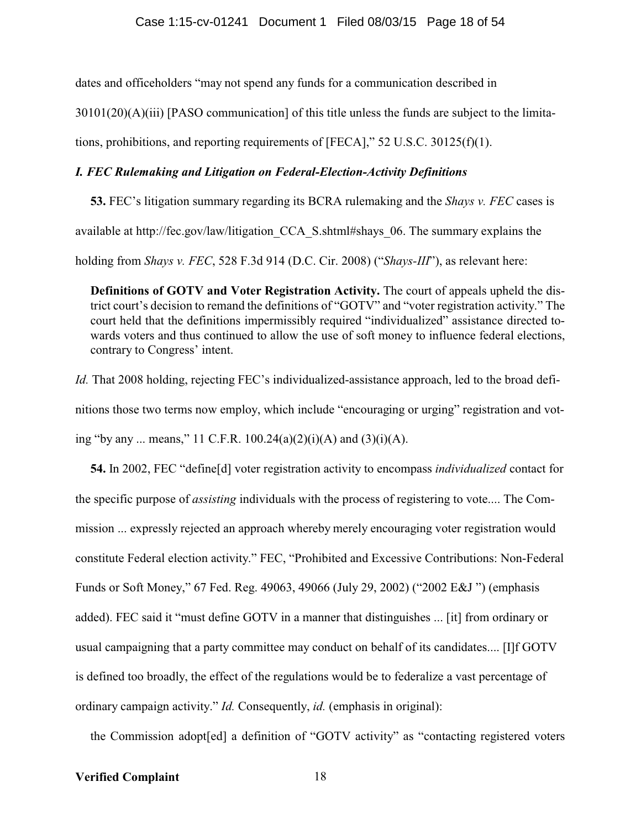dates and officeholders "may not spend any funds for a communication described in

 $30101(20)(A)(iii)$  [PASO communication] of this title unless the funds are subject to the limita-

tions, prohibitions, and reporting requirements of  $[FECA]$ ," 52 U.S.C. 30125(f)(1).

### *I. FEC Rulemaking and Litigation on Federal-Election-Activity Definitions*

**53.** FEC's litigation summary regarding its BCRA rulemaking and the *Shays v. FEC* cases is available at http://fec.gov/law/litigation\_CCA\_S.shtml#shays\_06. The summary explains the

holding from *Shays v. FEC*, 528 F.3d 914 (D.C. Cir. 2008) ("*Shays-III*"), as relevant here:

**Definitions of GOTV and Voter Registration Activity.** The court of appeals upheld the district court's decision to remand the definitions of "GOTV" and "voter registration activity." The court held that the definitions impermissibly required "individualized" assistance directed towards voters and thus continued to allow the use of soft money to influence federal elections, contrary to Congress' intent.

*Id.* That 2008 holding, rejecting FEC's individualized-assistance approach, led to the broad definitions those two terms now employ, which include "encouraging or urging" registration and voting "by any ... means," 11 C.F.R.  $100.24(a)(2)(i)(A)$  and  $(3)(i)(A)$ .

**54.** In 2002, FEC "define[d] voter registration activity to encompass *individualized* contact for the specific purpose of *assisting* individuals with the process of registering to vote.... The Commission ... expressly rejected an approach whereby merely encouraging voter registration would constitute Federal election activity." FEC, "Prohibited and Excessive Contributions: Non-Federal Funds or Soft Money," 67 Fed. Reg. 49063, 49066 (July 29, 2002) ("2002 E&J ") (emphasis added). FEC said it "must define GOTV in a manner that distinguishes ... [it] from ordinary or usual campaigning that a party committee may conduct on behalf of its candidates.... [I]f GOTV is defined too broadly, the effect of the regulations would be to federalize a vast percentage of ordinary campaign activity." *Id.* Consequently, *id.* (emphasis in original):

the Commission adopt[ed] a definition of "GOTV activity" as "contacting registered voters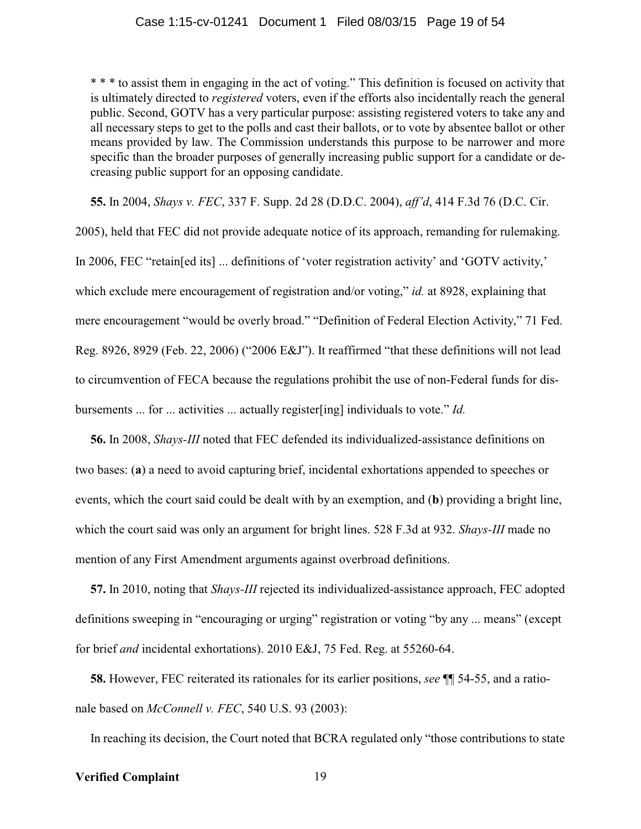\* \* \* to assist them in engaging in the act of voting." This definition is focused on activity that is ultimately directed to *registered* voters, even if the efforts also incidentally reach the general public. Second, GOTV has a very particular purpose: assisting registered voters to take any and all necessary steps to get to the polls and cast their ballots, or to vote by absentee ballot or other means provided by law. The Commission understands this purpose to be narrower and more specific than the broader purposes of generally increasing public support for a candidate or decreasing public support for an opposing candidate.

**55.** In 2004, *Shays v. FEC*, 337 F. Supp. 2d 28 (D.D.C. 2004), *aff'd*, 414 F.3d 76 (D.C. Cir.

2005), held that FEC did not provide adequate notice of its approach, remanding for rulemaking. In 2006, FEC "retain[ed its] ... definitions of 'voter registration activity' and 'GOTV activity,' which exclude mere encouragement of registration and/or voting," *id.* at 8928, explaining that mere encouragement "would be overly broad." "Definition of Federal Election Activity," 71 Fed. Reg. 8926, 8929 (Feb. 22, 2006) ("2006 E&J"). It reaffirmed "that these definitions will not lead to circumvention of FECA because the regulations prohibit the use of non-Federal funds for disbursements ... for ... activities ... actually register[ing] individuals to vote." *Id.*

**56.** In 2008, *Shays-III* noted that FEC defended its individualized-assistance definitions on two bases: (**a**) a need to avoid capturing brief, incidental exhortations appended to speeches or events, which the court said could be dealt with by an exemption, and (**b**) providing a bright line, which the court said was only an argument for bright lines. 528 F.3d at 932. *Shays-III* made no mention of any First Amendment arguments against overbroad definitions.

**57.** In 2010, noting that *Shays-III* rejected its individualized-assistance approach, FEC adopted definitions sweeping in "encouraging or urging" registration or voting "by any ... means" (except for brief *and* incidental exhortations). 2010 E&J, 75 Fed. Reg. at 55260-64.

**58.** However, FEC reiterated its rationales for its earlier positions, *see* ¶¶ 54-55, and a rationale based on *McConnell v. FEC*, 540 U.S. 93 (2003):

In reaching its decision, the Court noted that BCRA regulated only "those contributions to state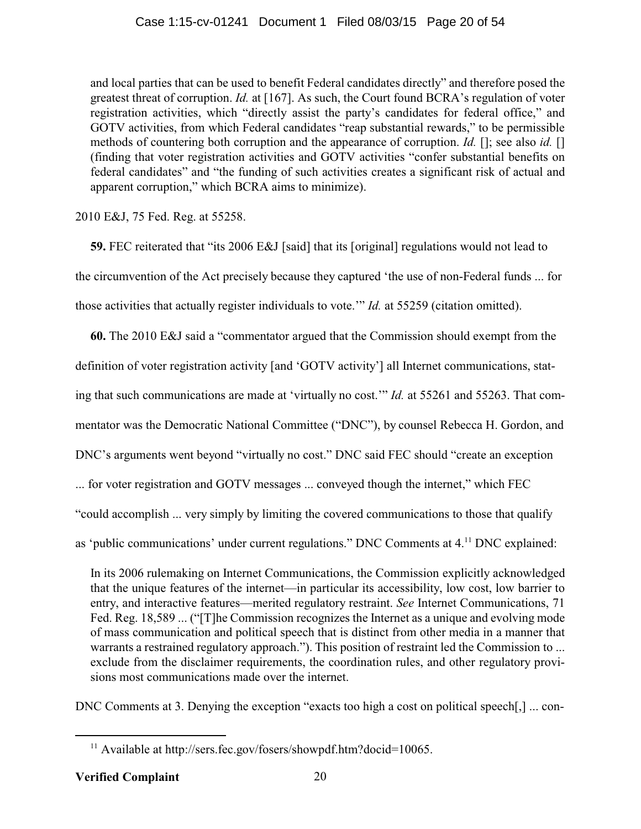and local parties that can be used to benefit Federal candidates directly" and therefore posed the greatest threat of corruption. *Id.* at [167]. As such, the Court found BCRA's regulation of voter registration activities, which "directly assist the party's candidates for federal office," and GOTV activities, from which Federal candidates "reap substantial rewards," to be permissible methods of countering both corruption and the appearance of corruption. *Id.* []; see also *id.* [] (finding that voter registration activities and GOTV activities "confer substantial benefits on federal candidates" and "the funding of such activities creates a significant risk of actual and apparent corruption," which BCRA aims to minimize).

2010 E&J, 75 Fed. Reg. at 55258.

**59.** FEC reiterated that "its 2006 E&J [said] that its [original] regulations would not lead to the circumvention of the Act precisely because they captured 'the use of non-Federal funds ... for those activities that actually register individuals to vote.'" *Id.* at 55259 (citation omitted).

**60.** The 2010 E&J said a "commentator argued that the Commission should exempt from the

definition of voter registration activity [and 'GOTV activity'] all Internet communications, stat-

ing that such communications are made at 'virtually no cost.'" *Id.* at 55261 and 55263. That com-

mentator was the Democratic National Committee ("DNC"), by counsel Rebecca H. Gordon, and

DNC's arguments went beyond "virtually no cost." DNC said FEC should "create an exception

... for voter registration and GOTV messages ... conveyed though the internet," which FEC

"could accomplish ... very simply by limiting the covered communications to those that qualify

as 'public communications' under current regulations." DNC Comments at 4.<sup>11</sup> DNC explained:

In its 2006 rulemaking on Internet Communications, the Commission explicitly acknowledged that the unique features of the internet—in particular its accessibility, low cost, low barrier to entry, and interactive features—merited regulatory restraint. *See* Internet Communications, 71 Fed. Reg. 18,589 ... ("[T]he Commission recognizes the Internet as a unique and evolving mode of mass communication and political speech that is distinct from other media in a manner that warrants a restrained regulatory approach."). This position of restraint led the Commission to ... exclude from the disclaimer requirements, the coordination rules, and other regulatory provisions most communications made over the internet.

DNC Comments at 3. Denying the exception "exacts too high a cost on political speech[,] ... con-

<sup>&</sup>lt;sup>11</sup> Available at http://sers.fec.gov/fosers/showpdf.htm?docid=10065.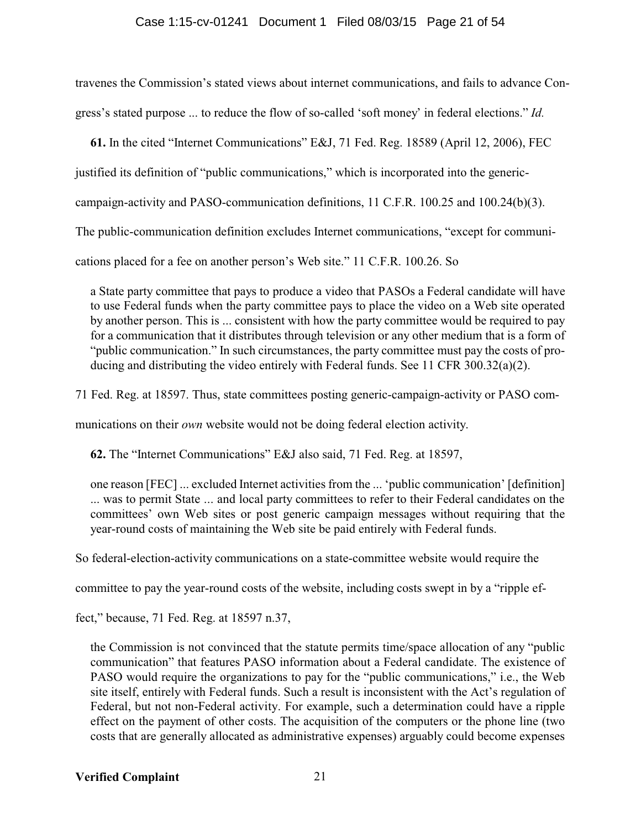### Case 1:15-cv-01241 Document 1 Filed 08/03/15 Page 21 of 54

travenes the Commission's stated views about internet communications, and fails to advance Congress's stated purpose ... to reduce the flow of so-called 'soft money' in federal elections." *Id.*

**61.** In the cited "Internet Communications" E&J, 71 Fed. Reg. 18589 (April 12, 2006), FEC

justified its definition of "public communications," which is incorporated into the generic-

campaign-activity and PASO-communication definitions, 11 C.F.R. 100.25 and 100.24(b)(3).

The public-communication definition excludes Internet communications, "except for communi-

cations placed for a fee on another person's Web site." 11 C.F.R. 100.26. So

a State party committee that pays to produce a video that PASOs a Federal candidate will have to use Federal funds when the party committee pays to place the video on a Web site operated by another person. This is ... consistent with how the party committee would be required to pay for a communication that it distributes through television or any other medium that is a form of "public communication." In such circumstances, the party committee must pay the costs of producing and distributing the video entirely with Federal funds. See 11 CFR 300.32(a)(2).

71 Fed. Reg. at 18597. Thus, state committees posting generic-campaign-activity or PASO com-

munications on their *own* website would not be doing federal election activity.

**62.** The "Internet Communications" E&J also said, 71 Fed. Reg. at 18597,

one reason [FEC] ... excluded Internet activities from the ... 'public communication' [definition] ... was to permit State ... and local party committees to refer to their Federal candidates on the committees' own Web sites or post generic campaign messages without requiring that the year-round costs of maintaining the Web site be paid entirely with Federal funds.

So federal-election-activity communications on a state-committee website would require the

committee to pay the year-round costs of the website, including costs swept in by a "ripple ef-

fect," because, 71 Fed. Reg. at 18597 n.37,

the Commission is not convinced that the statute permits time/space allocation of any "public communication" that features PASO information about a Federal candidate. The existence of PASO would require the organizations to pay for the "public communications," i.e., the Web site itself, entirely with Federal funds. Such a result is inconsistent with the Act's regulation of Federal, but not non-Federal activity. For example, such a determination could have a ripple effect on the payment of other costs. The acquisition of the computers or the phone line (two costs that are generally allocated as administrative expenses) arguably could become expenses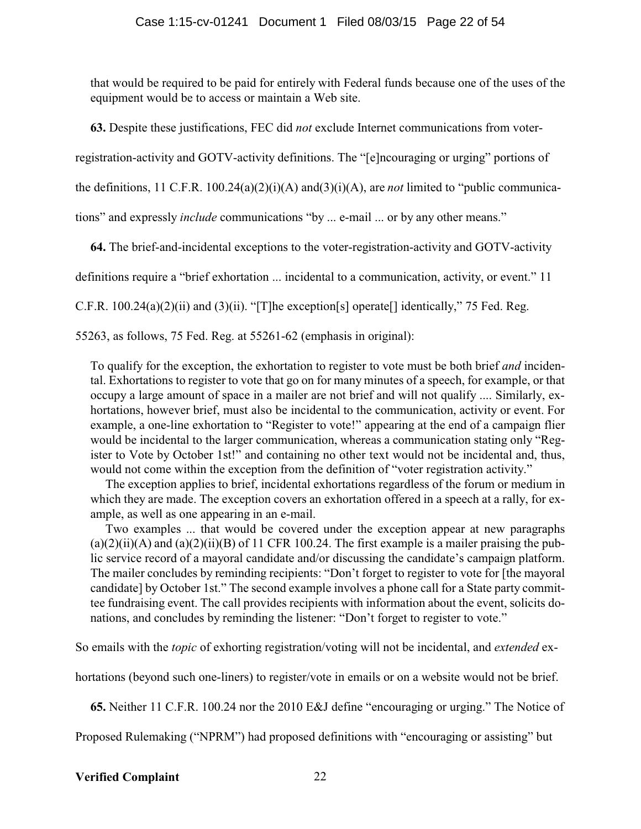that would be required to be paid for entirely with Federal funds because one of the uses of the equipment would be to access or maintain a Web site.

**63.** Despite these justifications, FEC did *not* exclude Internet communications from voter-

registration-activity and GOTV-activity definitions. The "[e]ncouraging or urging" portions of

the definitions,  $11 \text{ C.F.R. } 100.24(a)(2)(i)(A)$  and  $(3)(i)(A)$ , are *not* limited to "public communica-

tions" and expressly *include* communications "by ... e-mail ... or by any other means."

**64.** The brief-and-incidental exceptions to the voter-registration-activity and GOTV-activity

definitions require a "brief exhortation ... incidental to a communication, activity, or event." 11

C.F.R. 100.24(a)(2)(ii) and (3)(ii). "[T]he exception[s] operate[] identically," 75 Fed. Reg.

55263, as follows, 75 Fed. Reg. at 55261-62 (emphasis in original):

To qualify for the exception, the exhortation to register to vote must be both brief *and* incidental. Exhortations to register to vote that go on for many minutes of a speech, for example, or that occupy a large amount of space in a mailer are not brief and will not qualify .... Similarly, exhortations, however brief, must also be incidental to the communication, activity or event. For example, a one-line exhortation to "Register to vote!" appearing at the end of a campaign flier would be incidental to the larger communication, whereas a communication stating only "Register to Vote by October 1st!" and containing no other text would not be incidental and, thus, would not come within the exception from the definition of "voter registration activity."

The exception applies to brief, incidental exhortations regardless of the forum or medium in which they are made. The exception covers an exhortation offered in a speech at a rally, for example, as well as one appearing in an e-mail.

Two examples ... that would be covered under the exception appear at new paragraphs  $(a)(2)(ii)(A)$  and  $(a)(2)(ii)(B)$  of 11 CFR 100.24. The first example is a mailer praising the public service record of a mayoral candidate and/or discussing the candidate's campaign platform. The mailer concludes by reminding recipients: "Don't forget to register to vote for [the mayoral candidate] by October 1st." The second example involves a phone call for a State party committee fundraising event. The call provides recipients with information about the event, solicits donations, and concludes by reminding the listener: "Don't forget to register to vote."

So emails with the *topic* of exhorting registration/voting will not be incidental, and *extended* ex-

hortations (beyond such one-liners) to register/vote in emails or on a website would not be brief.

**65.** Neither 11 C.F.R. 100.24 nor the 2010 E&J define "encouraging or urging." The Notice of

Proposed Rulemaking ("NPRM") had proposed definitions with "encouraging or assisting" but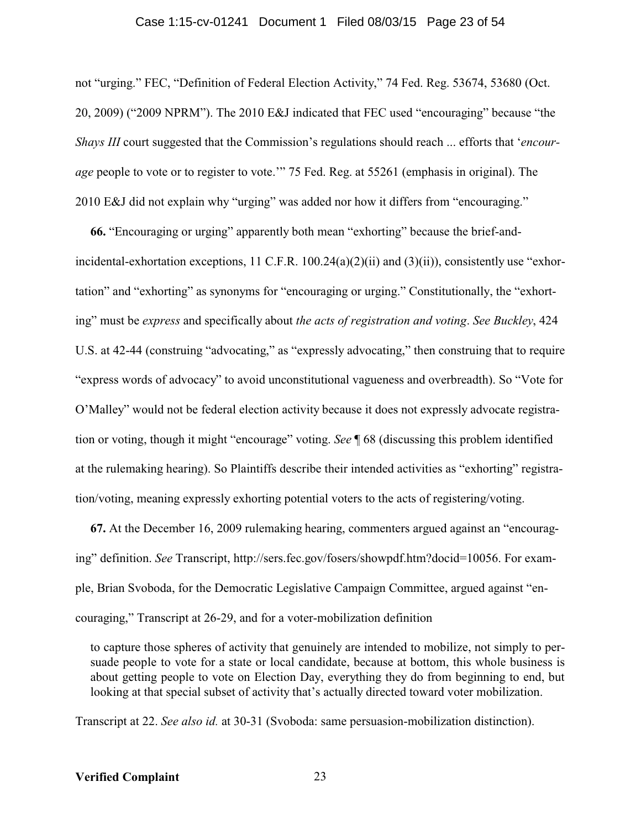#### Case 1:15-cv-01241 Document 1 Filed 08/03/15 Page 23 of 54

not "urging." FEC, "Definition of Federal Election Activity," 74 Fed. Reg. 53674, 53680 (Oct. 20, 2009) ("2009 NPRM"). The 2010 E&J indicated that FEC used "encouraging" because "the *Shays III* court suggested that the Commission's regulations should reach ... efforts that '*encourage* people to vote or to register to vote.'" 75 Fed. Reg. at 55261 (emphasis in original). The 2010 E&J did not explain why "urging" was added nor how it differs from "encouraging."

**66.** "Encouraging or urging" apparently both mean "exhorting" because the brief-andincidental-exhortation exceptions, 11 C.F.R. 100.24(a)(2)(ii) and (3)(ii)), consistently use "exhortation" and "exhorting" as synonyms for "encouraging or urging." Constitutionally, the "exhorting" must be *express* and specifically about *the acts of registration and voting*. *See Buckley*, 424 U.S. at 42-44 (construing "advocating," as "expressly advocating," then construing that to require "express words of advocacy" to avoid unconstitutional vagueness and overbreadth). So "Vote for O'Malley" would not be federal election activity because it does not expressly advocate registration or voting, though it might "encourage" voting. *See* ¶ 68 (discussing this problem identified at the rulemaking hearing). So Plaintiffs describe their intended activities as "exhorting" registration/voting, meaning expressly exhorting potential voters to the acts of registering/voting.

**67.** At the December 16, 2009 rulemaking hearing, commenters argued against an "encouraging" definition. *See* Transcript, http://sers.fec.gov/fosers/showpdf.htm?docid=10056. For example, Brian Svoboda, for the Democratic Legislative Campaign Committee, argued against "encouraging," Transcript at 26-29, and for a voter-mobilization definition

to capture those spheres of activity that genuinely are intended to mobilize, not simply to persuade people to vote for a state or local candidate, because at bottom, this whole business is about getting people to vote on Election Day, everything they do from beginning to end, but looking at that special subset of activity that's actually directed toward voter mobilization.

Transcript at 22. *See also id.* at 30-31 (Svoboda: same persuasion-mobilization distinction).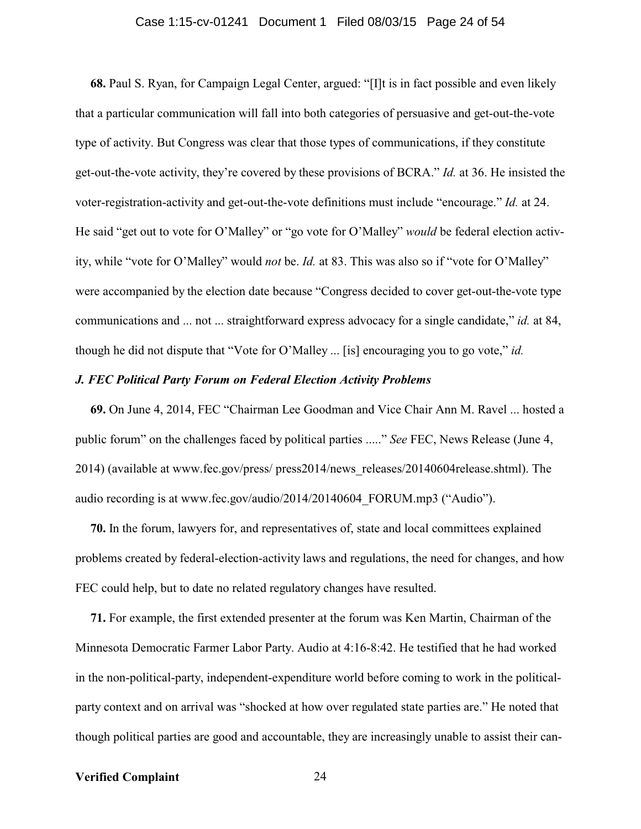#### Case 1:15-cv-01241 Document 1 Filed 08/03/15 Page 24 of 54

**68.** Paul S. Ryan, for Campaign Legal Center, argued: "[I]t is in fact possible and even likely that a particular communication will fall into both categories of persuasive and get-out-the-vote type of activity. But Congress was clear that those types of communications, if they constitute get-out-the-vote activity, they're covered by these provisions of BCRA." *Id.* at 36. He insisted the voter-registration-activity and get-out-the-vote definitions must include "encourage." *Id.* at 24. He said "get out to vote for O'Malley" or "go vote for O'Malley" *would* be federal election activity, while "vote for O'Malley" would *not* be. *Id.* at 83. This was also so if "vote for O'Malley" were accompanied by the election date because "Congress decided to cover get-out-the-vote type communications and ... not ... straightforward express advocacy for a single candidate," *id.* at 84, though he did not dispute that "Vote for O'Malley ... [is] encouraging you to go vote," *id.*

#### *J. FEC Political Party Forum on Federal Election Activity Problems*

**69.** On June 4, 2014, FEC "Chairman Lee Goodman and Vice Chair Ann M. Ravel ... hosted a public forum" on the challenges faced by political parties ....." *See* FEC, News Release (June 4, 2014) (available at www.fec.gov/press/ press2014/news\_releases/20140604release.shtml). The audio recording is at www.fec.gov/audio/2014/20140604\_FORUM.mp3 ("Audio").

**70.** In the forum, lawyers for, and representatives of, state and local committees explained problems created by federal-election-activity laws and regulations, the need for changes, and how FEC could help, but to date no related regulatory changes have resulted.

**71.** For example, the first extended presenter at the forum was Ken Martin, Chairman of the Minnesota Democratic Farmer Labor Party. Audio at 4:16-8:42. He testified that he had worked in the non-political-party, independent-expenditure world before coming to work in the politicalparty context and on arrival was "shocked at how over regulated state parties are." He noted that though political parties are good and accountable, they are increasingly unable to assist their can-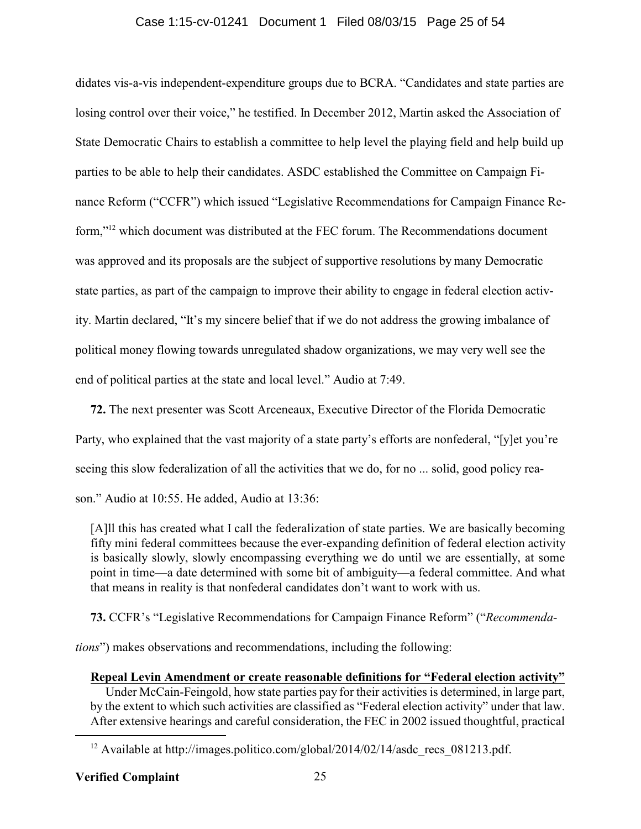#### Case 1:15-cv-01241 Document 1 Filed 08/03/15 Page 25 of 54

didates vis-a-vis independent-expenditure groups due to BCRA. "Candidates and state parties are losing control over their voice," he testified. In December 2012, Martin asked the Association of State Democratic Chairs to establish a committee to help level the playing field and help build up parties to be able to help their candidates. ASDC established the Committee on Campaign Finance Reform ("CCFR") which issued "Legislative Recommendations for Campaign Finance Reform,"<sup>12</sup> which document was distributed at the FEC forum. The Recommendations document was approved and its proposals are the subject of supportive resolutions by many Democratic state parties, as part of the campaign to improve their ability to engage in federal election activity. Martin declared, "It's my sincere belief that if we do not address the growing imbalance of political money flowing towards unregulated shadow organizations, we may very well see the end of political parties at the state and local level." Audio at 7:49.

**72.** The next presenter was Scott Arceneaux, Executive Director of the Florida Democratic Party, who explained that the vast majority of a state party's efforts are nonfederal, "[y]et you're seeing this slow federalization of all the activities that we do, for no ... solid, good policy reason." Audio at 10:55. He added, Audio at 13:36:

[A]ll this has created what I call the federalization of state parties. We are basically becoming fifty mini federal committees because the ever-expanding definition of federal election activity is basically slowly, slowly encompassing everything we do until we are essentially, at some point in time—a date determined with some bit of ambiguity—a federal committee. And what that means in reality is that nonfederal candidates don't want to work with us.

**73.** CCFR's "Legislative Recommendations for Campaign Finance Reform" ("*Recommenda-*

*tions*") makes observations and recommendations, including the following:

**Repeal Levin Amendment or create reasonable definitions for "Federal election activity"**

Under McCain-Feingold, how state parties pay for their activities is determined, in large part, by the extent to which such activities are classified as "Federal election activity" under that law. After extensive hearings and careful consideration, the FEC in 2002 issued thoughtful, practical

<sup>&</sup>lt;sup>12</sup> Available at http://images.politico.com/global/2014/02/14/asdc\_recs\_081213.pdf.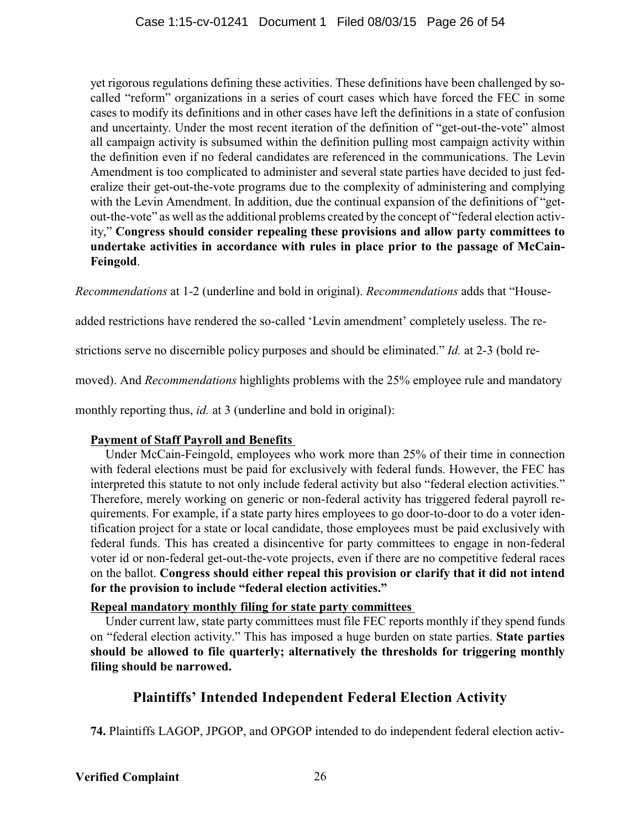yet rigorous regulations defining these activities. These definitions have been challenged by socalled "reform" organizations in a series of court cases which have forced the FEC in some cases to modify its definitions and in other cases have left the definitions in a state of confusion and uncertainty. Under the most recent iteration of the definition of "get-out-the-vote" almost all campaign activity is subsumed within the definition pulling most campaign activity within the definition even if no federal candidates are referenced in the communications. The Levin Amendment is too complicated to administer and several state parties have decided to just federalize their get-out-the-vote programs due to the complexity of administering and complying with the Levin Amendment. In addition, due the continual expansion of the definitions of "getout-the-vote" as well as the additional problems created by the concept of "federal election activity," **Congress should consider repealing these provisions and allow party committees to undertake activities in accordance with rules in place prior to the passage of McCain-Feingold**.

*Recommendations* at 1-2 (underline and bold in original). *Recommendations* adds that "House-

added restrictions have rendered the so-called 'Levin amendment' completely useless. The re-

strictions serve no discernible policy purposes and should be eliminated." *Id.* at 2-3 (bold re-

moved). And *Recommendations* highlights problems with the 25% employee rule and mandatory

monthly reporting thus, *id.* at 3 (underline and bold in original):

### **Payment of Staff Payroll and Benefits**

Under McCain-Feingold, employees who work more than 25% of their time in connection with federal elections must be paid for exclusively with federal funds. However, the FEC has interpreted this statute to not only include federal activity but also "federal election activities." Therefore, merely working on generic or non-federal activity has triggered federal payroll requirements. For example, if a state party hires employees to go door-to-door to do a voter identification project for a state or local candidate, those employees must be paid exclusively with federal funds. This has created a disincentive for party committees to engage in non-federal voter id or non-federal get-out-the-vote projects, even if there are no competitive federal races on the ballot. **Congress should either repeal this provision or clarify that it did not intend for the provision to include "federal election activities."**

### **Repeal mandatory monthly filing for state party committees**

Under current law, state party committees must file FEC reports monthly if they spend funds on "federal election activity." This has imposed a huge burden on state parties. **State parties should be allowed to file quarterly; alternatively the thresholds for triggering monthly filing should be narrowed.**

# **Plaintiffs' Intended Independent Federal Election Activity**

**74.** Plaintiffs LAGOP, JPGOP, and OPGOP intended to do independent federal election activ-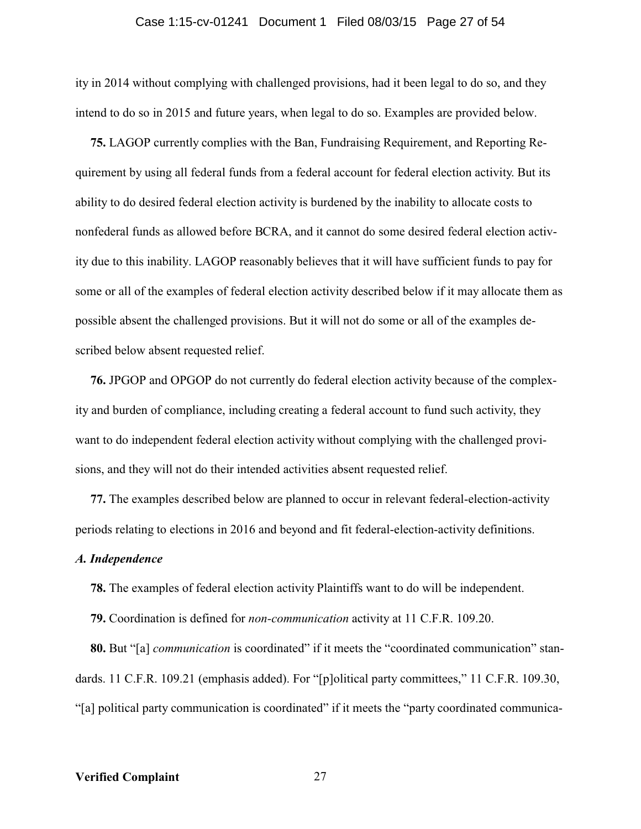#### Case 1:15-cv-01241 Document 1 Filed 08/03/15 Page 27 of 54

ity in 2014 without complying with challenged provisions, had it been legal to do so, and they intend to do so in 2015 and future years, when legal to do so. Examples are provided below.

**75.** LAGOP currently complies with the Ban, Fundraising Requirement, and Reporting Requirement by using all federal funds from a federal account for federal election activity. But its ability to do desired federal election activity is burdened by the inability to allocate costs to nonfederal funds as allowed before BCRA, and it cannot do some desired federal election activity due to this inability. LAGOP reasonably believes that it will have sufficient funds to pay for some or all of the examples of federal election activity described below if it may allocate them as possible absent the challenged provisions. But it will not do some or all of the examples described below absent requested relief.

**76.** JPGOP and OPGOP do not currently do federal election activity because of the complexity and burden of compliance, including creating a federal account to fund such activity, they want to do independent federal election activity without complying with the challenged provisions, and they will not do their intended activities absent requested relief.

**77.** The examples described below are planned to occur in relevant federal-election-activity periods relating to elections in 2016 and beyond and fit federal-election-activity definitions.

#### *A. Independence*

**78.** The examples of federal election activity Plaintiffs want to do will be independent.

**79.** Coordination is defined for *non-communication* activity at 11 C.F.R. 109.20.

**80.** But "[a] *communication* is coordinated" if it meets the "coordinated communication" standards. 11 C.F.R. 109.21 (emphasis added). For "[p]olitical party committees," 11 C.F.R. 109.30, "[a] political party communication is coordinated" if it meets the "party coordinated communica-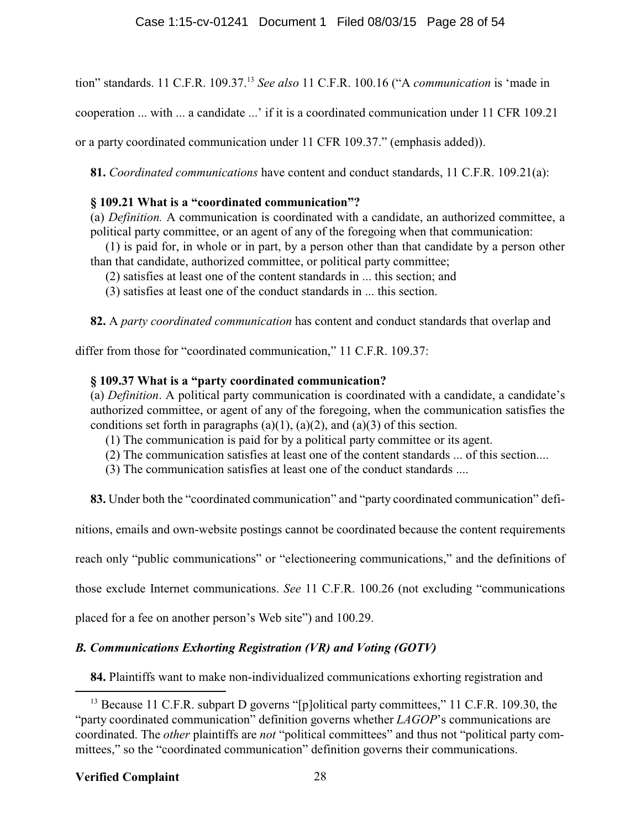tion" standards. 11 C.F.R. 109.37.<sup>13</sup> *See also* 11 C.F.R. 100.16 ("A *communication* is 'made in

cooperation ... with ... a candidate ...' if it is a coordinated communication under 11 CFR 109.21

or a party coordinated communication under 11 CFR 109.37." (emphasis added)).

**81.** *Coordinated communications* have content and conduct standards, 11 C.F.R. 109.21(a):

### **§ 109.21 What is a "coordinated communication"?**

(a) *Definition.* A communication is coordinated with a candidate, an authorized committee, a political party committee, or an agent of any of the foregoing when that communication:

(1) is paid for, in whole or in part, by a person other than that candidate by a person other than that candidate, authorized committee, or political party committee;

- (2) satisfies at least one of the content standards in ... this section; and
- (3) satisfies at least one of the conduct standards in ... this section.

**82.** A *party coordinated communication* has content and conduct standards that overlap and

differ from those for "coordinated communication," 11 C.F.R. 109.37:

### **§ 109.37 What is a "party coordinated communication?**

(a) *Definition*. A political party communication is coordinated with a candidate, a candidate's authorized committee, or agent of any of the foregoing, when the communication satisfies the conditions set forth in paragraphs (a)(1), (a)(2), and (a)(3) of this section.

- (1) The communication is paid for by a political party committee or its agent.
- (2) The communication satisfies at least one of the content standards ... of this section....
- (3) The communication satisfies at least one of the conduct standards ....

**83.** Under both the "coordinated communication" and "party coordinated communication" defi-

nitions, emails and own-website postings cannot be coordinated because the content requirements

reach only "public communications" or "electioneering communications," and the definitions of

those exclude Internet communications. *See* 11 C.F.R. 100.26 (not excluding "communications

placed for a fee on another person's Web site") and 100.29.

### *B. Communications Exhorting Registration (VR) and Voting (GOTV)*

**84.** Plaintiffs want to make non-individualized communications exhorting registration and

<sup>&</sup>lt;sup>13</sup> Because 11 C.F.R. subpart D governs "[p]olitical party committees," 11 C.F.R. 109.30, the "party coordinated communication" definition governs whether *LAGOP*'s communications are coordinated. The *other* plaintiffs are *not* "political committees" and thus not "political party committees," so the "coordinated communication" definition governs their communications.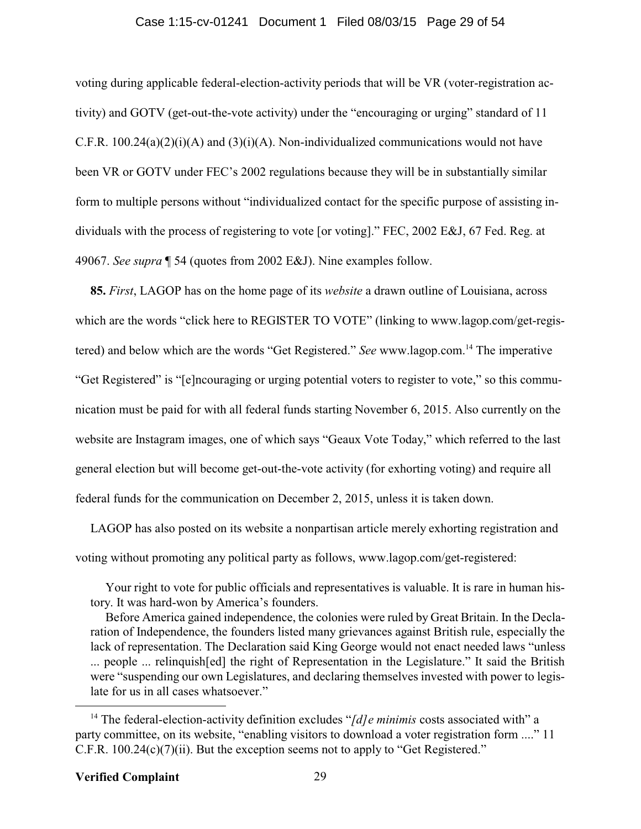#### Case 1:15-cv-01241 Document 1 Filed 08/03/15 Page 29 of 54

voting during applicable federal-election-activity periods that will be VR (voter-registration activity) and GOTV (get-out-the-vote activity) under the "encouraging or urging" standard of 11 C.F.R.  $100.24(a)(2)(i)(A)$  and  $(3)(i)(A)$ . Non-individualized communications would not have been VR or GOTV under FEC's 2002 regulations because they will be in substantially similar form to multiple persons without "individualized contact for the specific purpose of assisting individuals with the process of registering to vote [or voting]." FEC, 2002 E&J, 67 Fed. Reg. at 49067. *See supra* ¶ 54 (quotes from 2002 E&J). Nine examples follow.

**85.** *First*, LAGOP has on the home page of its *website* a drawn outline of Louisiana, across which are the words "click here to REGISTER TO VOTE" (linking to www.lagop.com/get-registered) and below which are the words "Get Registered." *See* www.lagop.com.<sup>14</sup> The imperative "Get Registered" is "[e]ncouraging or urging potential voters to register to vote," so this communication must be paid for with all federal funds starting November 6, 2015. Also currently on the website are Instagram images, one of which says "Geaux Vote Today," which referred to the last general election but will become get-out-the-vote activity (for exhorting voting) and require all federal funds for the communication on December 2, 2015, unless it is taken down.

LAGOP has also posted on its website a nonpartisan article merely exhorting registration and voting without promoting any political party as follows, www.lagop.com/get-registered:

Your right to vote for public officials and representatives is valuable. It is rare in human history. It was hard-won by America's founders.

Before America gained independence, the colonies were ruled by Great Britain. In the Declaration of Independence, the founders listed many grievances against British rule, especially the lack of representation. The Declaration said King George would not enact needed laws "unless ... people ... relinquish[ed] the right of Representation in the Legislature." It said the British were "suspending our own Legislatures, and declaring themselves invested with power to legislate for us in all cases whatsoever."

<sup>&</sup>lt;sup>14</sup> The federal-election-activity definition excludes "[d] e minimis costs associated with" a party committee, on its website, "enabling visitors to download a voter registration form ...." 11 C.F.R. 100.24(c)(7)(ii). But the exception seems not to apply to "Get Registered."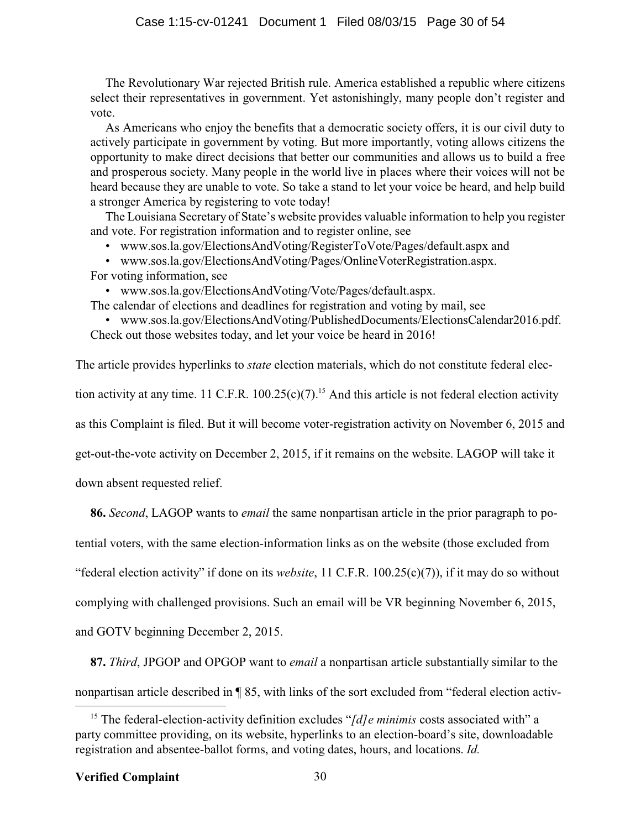The Revolutionary War rejected British rule. America established a republic where citizens select their representatives in government. Yet astonishingly, many people don't register and vote.

As Americans who enjoy the benefits that a democratic society offers, it is our civil duty to actively participate in government by voting. But more importantly, voting allows citizens the opportunity to make direct decisions that better our communities and allows us to build a free and prosperous society. Many people in the world live in places where their voices will not be heard because they are unable to vote. So take a stand to let your voice be heard, and help build a stronger America by registering to vote today!

The Louisiana Secretary of State's website provides valuable information to help you register and vote. For registration information and to register online, see

• www.sos.la.gov/ElectionsAndVoting/RegisterToVote/Pages/default.aspx and

• www.sos.la.gov/ElectionsAndVoting/Pages/OnlineVoterRegistration.aspx. For voting information, see

• www.sos.la.gov/ElectionsAndVoting/Vote/Pages/default.aspx.

The calendar of elections and deadlines for registration and voting by mail, see

• www.sos.la.gov/ElectionsAndVoting/PublishedDocuments/ElectionsCalendar2016.pdf. Check out those websites today, and let your voice be heard in 2016!

The article provides hyperlinks to *state* election materials, which do not constitute federal elec-

tion activity at any time. 11 C.F.R.  $100.25(c)(7)$ .<sup>15</sup> And this article is not federal election activity

as this Complaint is filed. But it will become voter-registration activity on November 6, 2015 and

get-out-the-vote activity on December 2, 2015, if it remains on the website. LAGOP will take it

down absent requested relief.

**86.** *Second*, LAGOP wants to *email* the same nonpartisan article in the prior paragraph to po-

tential voters, with the same election-information links as on the website (those excluded from

"federal election activity" if done on its *website*, 11 C.F.R. 100.25(c)(7)), if it may do so without

complying with challenged provisions. Such an email will be VR beginning November 6, 2015,

and GOTV beginning December 2, 2015.

**87.** *Third*, JPGOP and OPGOP want to *email* a nonpartisan article substantially similar to the nonpartisan article described in ¶ 85, with links of the sort excluded from "federal election activ-

<sup>&</sup>lt;sup>15</sup> The federal-election-activity definition excludes "[d] e minimis costs associated with" a party committee providing, on its website, hyperlinks to an election-board's site, downloadable registration and absentee-ballot forms, and voting dates, hours, and locations. *Id.*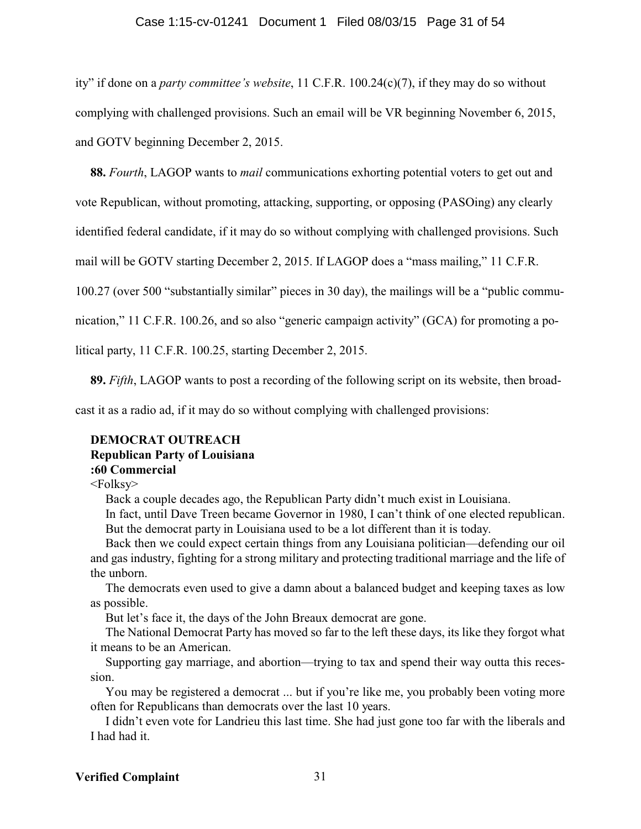#### Case 1:15-cv-01241 Document 1 Filed 08/03/15 Page 31 of 54

ity" if done on a *party committee's website*, 11 C.F.R. 100.24(c)(7), if they may do so without complying with challenged provisions. Such an email will be VR beginning November 6, 2015, and GOTV beginning December 2, 2015.

**88.** *Fourth*, LAGOP wants to *mail* communications exhorting potential voters to get out and

vote Republican, without promoting, attacking, supporting, or opposing (PASOing) any clearly

identified federal candidate, if it may do so without complying with challenged provisions. Such

mail will be GOTV starting December 2, 2015. If LAGOP does a "mass mailing," 11 C.F.R.

100.27 (over 500 "substantially similar" pieces in 30 day), the mailings will be a "public commu-

nication," 11 C.F.R. 100.26, and so also "generic campaign activity" (GCA) for promoting a po-

litical party, 11 C.F.R. 100.25, starting December 2, 2015.

**89.** *Fifth*, LAGOP wants to post a recording of the following script on its website, then broad-

cast it as a radio ad, if it may do so without complying with challenged provisions:

#### **DEMOCRAT OUTREACH**

### **Republican Party of Louisiana**

### **:60 Commercial**

<Folksy>

Back a couple decades ago, the Republican Party didn't much exist in Louisiana.

In fact, until Dave Treen became Governor in 1980, I can't think of one elected republican. But the democrat party in Louisiana used to be a lot different than it is today.

Back then we could expect certain things from any Louisiana politician—defending our oil and gas industry, fighting for a strong military and protecting traditional marriage and the life of the unborn.

The democrats even used to give a damn about a balanced budget and keeping taxes as low as possible.

But let's face it, the days of the John Breaux democrat are gone.

The National Democrat Party has moved so far to the left these days, its like they forgot what it means to be an American.

Supporting gay marriage, and abortion—trying to tax and spend their way outta this recession.

You may be registered a democrat ... but if you're like me, you probably been voting more often for Republicans than democrats over the last 10 years.

I didn't even vote for Landrieu this last time. She had just gone too far with the liberals and I had had it.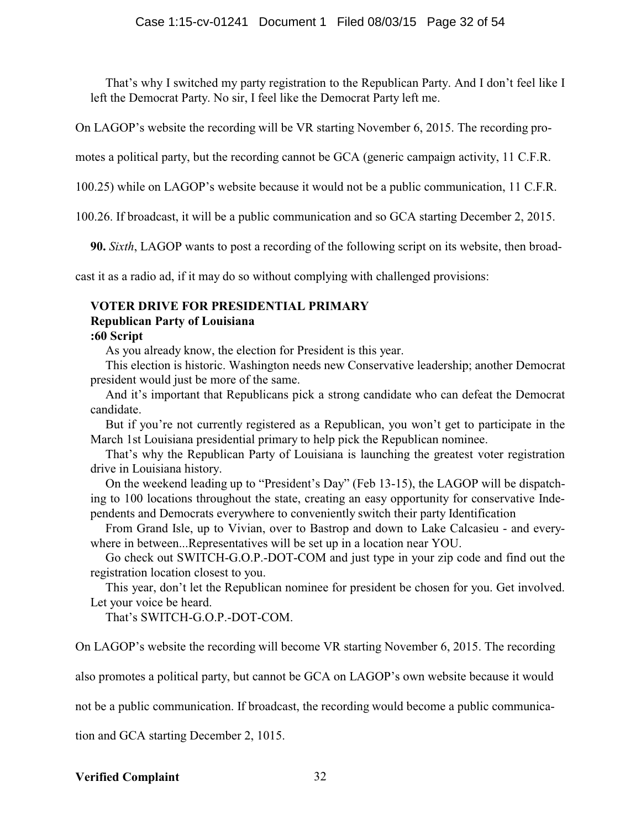That's why I switched my party registration to the Republican Party. And I don't feel like I left the Democrat Party. No sir, I feel like the Democrat Party left me.

On LAGOP's website the recording will be VR starting November 6, 2015. The recording pro-

motes a political party, but the recording cannot be GCA (generic campaign activity, 11 C.F.R.

100.25) while on LAGOP's website because it would not be a public communication, 11 C.F.R.

100.26. If broadcast, it will be a public communication and so GCA starting December 2, 2015.

**90.** *Sixth*, LAGOP wants to post a recording of the following script on its website, then broad-

cast it as a radio ad, if it may do so without complying with challenged provisions:

### **VOTER DRIVE FOR PRESIDENTIAL PRIMARY**

### **Republican Party of Louisiana**

### **:60 Script**

As you already know, the election for President is this year.

This election is historic. Washington needs new Conservative leadership; another Democrat president would just be more of the same.

And it's important that Republicans pick a strong candidate who can defeat the Democrat candidate.

But if you're not currently registered as a Republican, you won't get to participate in the March 1st Louisiana presidential primary to help pick the Republican nominee.

That's why the Republican Party of Louisiana is launching the greatest voter registration drive in Louisiana history.

On the weekend leading up to "President's Day" (Feb 13-15), the LAGOP will be dispatching to 100 locations throughout the state, creating an easy opportunity for conservative Independents and Democrats everywhere to conveniently switch their party Identification

From Grand Isle, up to Vivian, over to Bastrop and down to Lake Calcasieu - and everywhere in between...Representatives will be set up in a location near YOU.

Go check out SWITCH-G.O.P.-DOT-COM and just type in your zip code and find out the registration location closest to you.

This year, don't let the Republican nominee for president be chosen for you. Get involved. Let your voice be heard.

That's SWITCH-G O P-DOT-COM

On LAGOP's website the recording will become VR starting November 6, 2015. The recording

also promotes a political party, but cannot be GCA on LAGOP's own website because it would

not be a public communication. If broadcast, the recording would become a public communica-

tion and GCA starting December 2, 1015.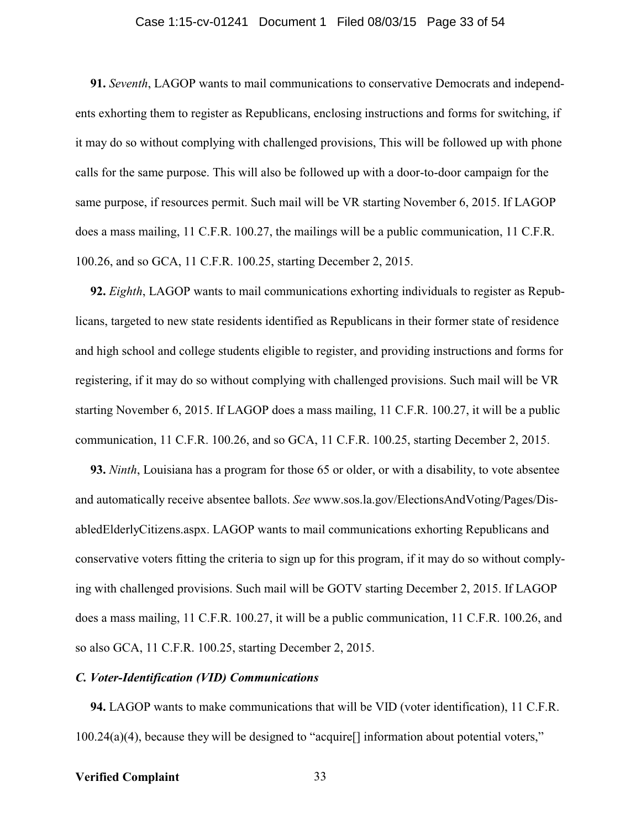#### Case 1:15-cv-01241 Document 1 Filed 08/03/15 Page 33 of 54

**91.** *Seventh*, LAGOP wants to mail communications to conservative Democrats and independents exhorting them to register as Republicans, enclosing instructions and forms for switching, if it may do so without complying with challenged provisions, This will be followed up with phone calls for the same purpose. This will also be followed up with a door-to-door campaign for the same purpose, if resources permit. Such mail will be VR starting November 6, 2015. If LAGOP does a mass mailing, 11 C.F.R. 100.27, the mailings will be a public communication, 11 C.F.R. 100.26, and so GCA, 11 C.F.R. 100.25, starting December 2, 2015.

**92.** *Eighth*, LAGOP wants to mail communications exhorting individuals to register as Republicans, targeted to new state residents identified as Republicans in their former state of residence and high school and college students eligible to register, and providing instructions and forms for registering, if it may do so without complying with challenged provisions. Such mail will be VR starting November 6, 2015. If LAGOP does a mass mailing, 11 C.F.R. 100.27, it will be a public communication, 11 C.F.R. 100.26, and so GCA, 11 C.F.R. 100.25, starting December 2, 2015.

**93.** *Ninth*, Louisiana has a program for those 65 or older, or with a disability, to vote absentee and automatically receive absentee ballots. *See* www.sos.la.gov/ElectionsAndVoting/Pages/DisabledElderlyCitizens.aspx. LAGOP wants to mail communications exhorting Republicans and conservative voters fitting the criteria to sign up for this program, if it may do so without complying with challenged provisions. Such mail will be GOTV starting December 2, 2015. If LAGOP does a mass mailing, 11 C.F.R. 100.27, it will be a public communication, 11 C.F.R. 100.26, and so also GCA, 11 C.F.R. 100.25, starting December 2, 2015.

#### *C. Voter-Identification (VID) Communications*

**94.** LAGOP wants to make communications that will be VID (voter identification), 11 C.F.R. 100.24(a)(4), because they will be designed to "acquire[] information about potential voters,"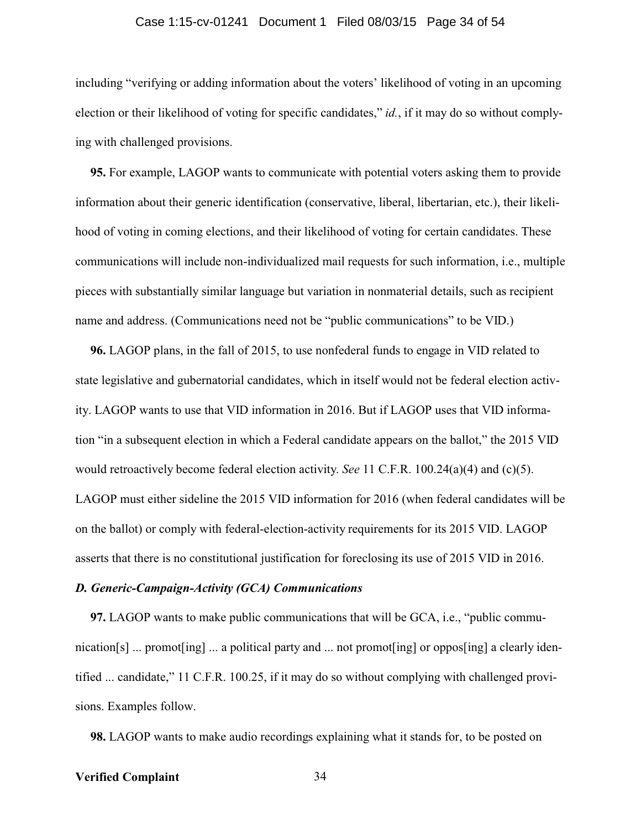#### Case 1:15-cv-01241 Document 1 Filed 08/03/15 Page 34 of 54

including "verifying or adding information about the voters' likelihood of voting in an upcoming election or their likelihood of voting for specific candidates," *id.*, if it may do so without complying with challenged provisions.

**95.** For example, LAGOP wants to communicate with potential voters asking them to provide information about their generic identification (conservative, liberal, libertarian, etc.), their likelihood of voting in coming elections, and their likelihood of voting for certain candidates. These communications will include non-individualized mail requests for such information, i.e., multiple pieces with substantially similar language but variation in nonmaterial details, such as recipient name and address. (Communications need not be "public communications" to be VID.)

**96.** LAGOP plans, in the fall of 2015, to use nonfederal funds to engage in VID related to state legislative and gubernatorial candidates, which in itself would not be federal election activity. LAGOP wants to use that VID information in 2016. But if LAGOP uses that VID information "in a subsequent election in which a Federal candidate appears on the ballot," the 2015 VID would retroactively become federal election activity. *See* 11 C.F.R. 100.24(a)(4) and (c)(5). LAGOP must either sideline the 2015 VID information for 2016 (when federal candidates will be on the ballot) or comply with federal-election-activity requirements for its 2015 VID. LAGOP asserts that there is no constitutional justification for foreclosing its use of 2015 VID in 2016.

#### *D. Generic-Campaign-Activity (GCA) Communications*

**97.** LAGOP wants to make public communications that will be GCA, i.e., "public communication[s] ... promot[ing] ... a political party and ... not promot[ing] or oppos[ing] a clearly identified ... candidate," 11 C.F.R. 100.25, if it may do so without complying with challenged provisions. Examples follow.

**98.** LAGOP wants to make audio recordings explaining what it stands for, to be posted on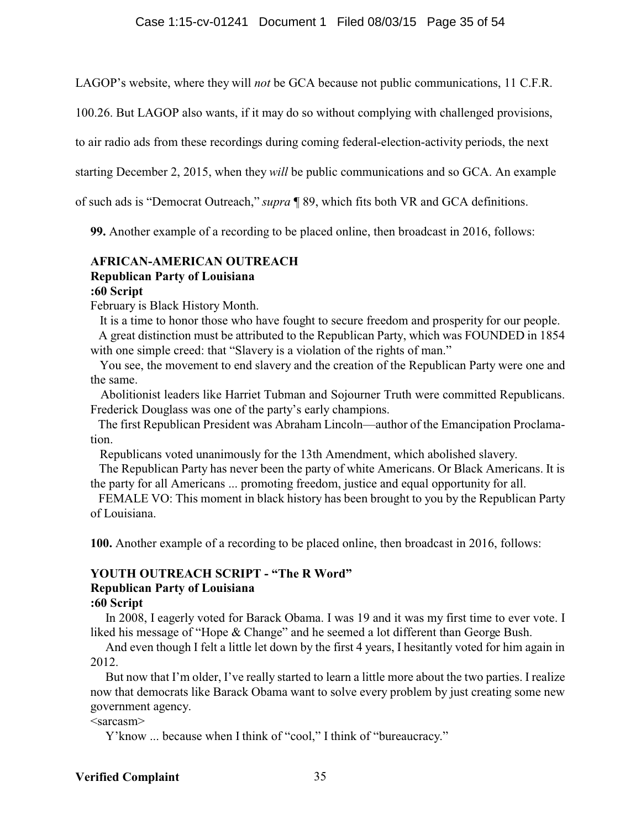LAGOP's website, where they will *not* be GCA because not public communications, 11 C.F.R.

100.26. But LAGOP also wants, if it may do so without complying with challenged provisions,

to air radio ads from these recordings during coming federal-election-activity periods, the next

starting December 2, 2015, when they *will* be public communications and so GCA. An example

of such ads is "Democrat Outreach," *supra* ¶ 89, which fits both VR and GCA definitions.

**99.** Another example of a recording to be placed online, then broadcast in 2016, follows:

### **AFRICAN-AMERICAN OUTREACH Republican Party of Louisiana :60 Script**

February is Black History Month.

It is a time to honor those who have fought to secure freedom and prosperity for our people.

A great distinction must be attributed to the Republican Party, which was FOUNDED in 1854 with one simple creed: that "Slavery is a violation of the rights of man."

 You see, the movement to end slavery and the creation of the Republican Party were one and the same.

Abolitionist leaders like Harriet Tubman and Sojourner Truth were committed Republicans. Frederick Douglass was one of the party's early champions.

The first Republican President was Abraham Lincoln—author of the Emancipation Proclamation.

Republicans voted unanimously for the 13th Amendment, which abolished slavery.

The Republican Party has never been the party of white Americans. Or Black Americans. It is the party for all Americans ... promoting freedom, justice and equal opportunity for all.

FEMALE VO: This moment in black history has been brought to you by the Republican Party of Louisiana.

**100.** Another example of a recording to be placed online, then broadcast in 2016, follows:

### **YOUTH OUTREACH SCRIPT - "The R Word" Republican Party of Louisiana**

### **:60 Script**

In 2008, I eagerly voted for Barack Obama. I was 19 and it was my first time to ever vote. I liked his message of "Hope & Change" and he seemed a lot different than George Bush.

And even though I felt a little let down by the first 4 years, I hesitantly voted for him again in 2012.

But now that I'm older, I've really started to learn a little more about the two parties. I realize now that democrats like Barack Obama want to solve every problem by just creating some new government agency.

### $<$ sarcasm $>$

Y'know ... because when I think of "cool," I think of "bureaucracy."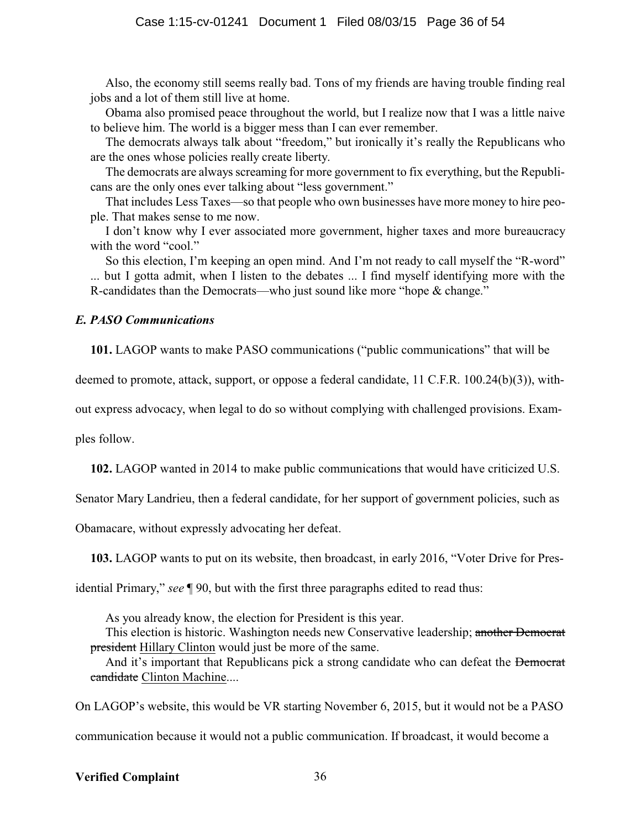Also, the economy still seems really bad. Tons of my friends are having trouble finding real jobs and a lot of them still live at home.

Obama also promised peace throughout the world, but I realize now that I was a little naive to believe him. The world is a bigger mess than I can ever remember.

The democrats always talk about "freedom," but ironically it's really the Republicans who are the ones whose policies really create liberty.

The democrats are always screaming for more government to fix everything, but the Republicans are the only ones ever talking about "less government."

That includes Less Taxes—so that people who own businesses have more money to hire people. That makes sense to me now.

I don't know why I ever associated more government, higher taxes and more bureaucracy with the word "cool."

So this election, I'm keeping an open mind. And I'm not ready to call myself the "R-word" ... but I gotta admit, when I listen to the debates ... I find myself identifying more with the R-candidates than the Democrats—who just sound like more "hope & change."

#### *E. PASO Communications*

**101.** LAGOP wants to make PASO communications ("public communications" that will be

deemed to promote, attack, support, or oppose a federal candidate, 11 C.F.R. 100.24(b)(3)), with-

out express advocacy, when legal to do so without complying with challenged provisions. Exam-

ples follow.

**102.** LAGOP wanted in 2014 to make public communications that would have criticized U.S.

Senator Mary Landrieu, then a federal candidate, for her support of government policies, such as

Obamacare, without expressly advocating her defeat.

**103.** LAGOP wants to put on its website, then broadcast, in early 2016, "Voter Drive for Pres-

idential Primary," *see* ¶ 90, but with the first three paragraphs edited to read thus:

As you already know, the election for President is this year.

This election is historic. Washington needs new Conservative leadership; another Democrat president Hillary Clinton would just be more of the same.

And it's important that Republicans pick a strong candidate who can defeat the Democrat candidate Clinton Machine....

On LAGOP's website, this would be VR starting November 6, 2015, but it would not be a PASO

communication because it would not a public communication. If broadcast, it would become a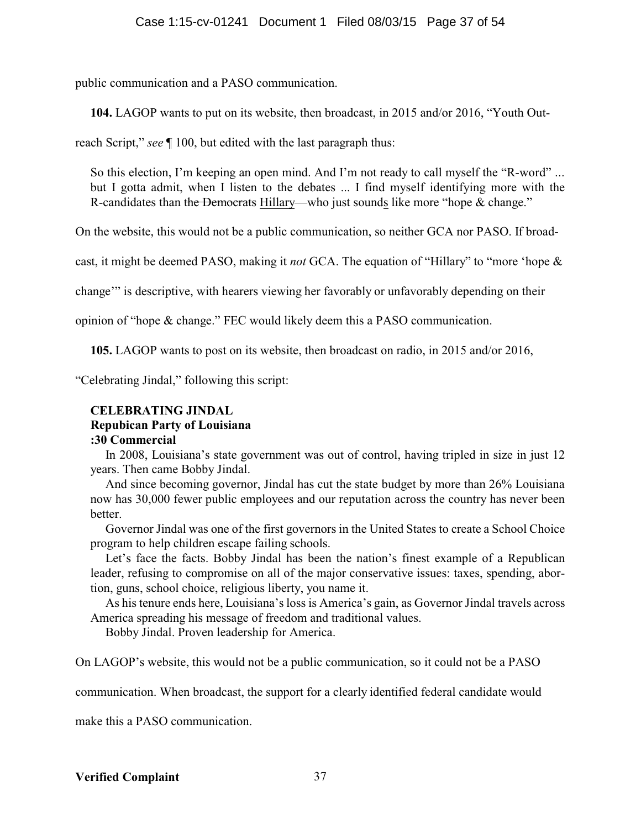public communication and a PASO communication.

**104.** LAGOP wants to put on its website, then broadcast, in 2015 and/or 2016, "Youth Out-

reach Script," *see* ¶ 100, but edited with the last paragraph thus:

So this election, I'm keeping an open mind. And I'm not ready to call myself the "R-word" ... but I gotta admit, when I listen to the debates ... I find myself identifying more with the R-candidates than the Democrats Hillary—who just sounds like more "hope & change."

On the website, this would not be a public communication, so neither GCA nor PASO. If broad-

cast, it might be deemed PASO, making it *not* GCA. The equation of "Hillary" to "more 'hope &

change'" is descriptive, with hearers viewing her favorably or unfavorably depending on their

opinion of "hope & change." FEC would likely deem this a PASO communication.

**105.** LAGOP wants to post on its website, then broadcast on radio, in 2015 and/or 2016,

"Celebrating Jindal," following this script:

### **CELEBRATING JINDAL**

### **Repubican Party of Louisiana**

### **:30 Commercial**

In 2008, Louisiana's state government was out of control, having tripled in size in just 12 years. Then came Bobby Jindal.

And since becoming governor, Jindal has cut the state budget by more than 26% Louisiana now has 30,000 fewer public employees and our reputation across the country has never been better.

Governor Jindal was one of the first governors in the United States to create a School Choice program to help children escape failing schools.

Let's face the facts. Bobby Jindal has been the nation's finest example of a Republican leader, refusing to compromise on all of the major conservative issues: taxes, spending, abortion, guns, school choice, religious liberty, you name it.

As his tenure ends here, Louisiana's loss is America's gain, as Governor Jindal travels across America spreading his message of freedom and traditional values.

Bobby Jindal. Proven leadership for America.

On LAGOP's website, this would not be a public communication, so it could not be a PASO

communication. When broadcast, the support for a clearly identified federal candidate would

make this a PASO communication.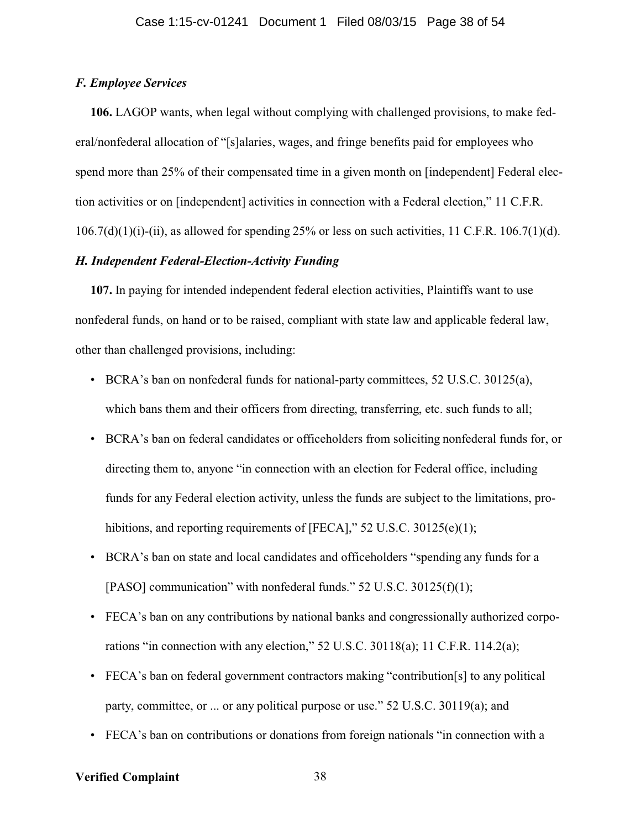#### *F. Employee Services*

**106.** LAGOP wants, when legal without complying with challenged provisions, to make federal/nonfederal allocation of "[s]alaries, wages, and fringe benefits paid for employees who spend more than 25% of their compensated time in a given month on [independent] Federal election activities or on [independent] activities in connection with a Federal election," 11 C.F.R.  $106.7(d)(1)(i)$ -(ii), as allowed for spending 25% or less on such activities, 11 C.F.R. 106.7(1)(d).

### *H. Independent Federal-Election-Activity Funding*

**107.** In paying for intended independent federal election activities, Plaintiffs want to use nonfederal funds, on hand or to be raised, compliant with state law and applicable federal law, other than challenged provisions, including:

- BCRA's ban on nonfederal funds for national-party committees, 52 U.S.C. 30125(a), which bans them and their officers from directing, transferring, etc. such funds to all;
- BCRA's ban on federal candidates or officeholders from soliciting nonfederal funds for, or directing them to, anyone "in connection with an election for Federal office, including funds for any Federal election activity, unless the funds are subject to the limitations, prohibitions, and reporting requirements of [FECA]," 52 U.S.C. 30125(e)(1);
- BCRA's ban on state and local candidates and officeholders "spending any funds for a [PASO] communication" with nonfederal funds." 52 U.S.C. 30125(f)(1);
- FECA's ban on any contributions by national banks and congressionally authorized corporations "in connection with any election," 52 U.S.C. 30118(a); 11 C.F.R. 114.2(a);
- FECA's ban on federal government contractors making "contribution[s] to any political party, committee, or ... or any political purpose or use." 52 U.S.C. 30119(a); and
- FECA's ban on contributions or donations from foreign nationals "in connection with a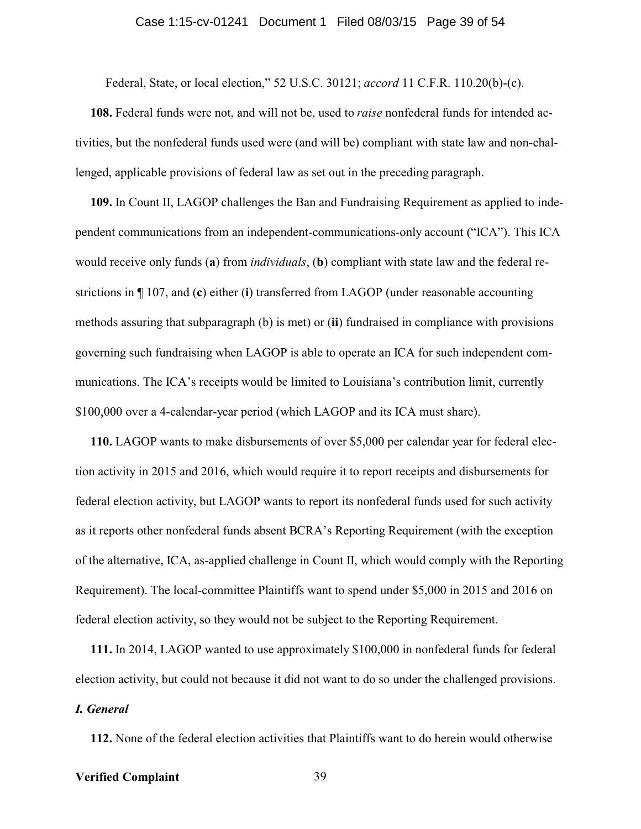#### Case 1:15-cv-01241 Document 1 Filed 08/03/15 Page 39 of 54

Federal, State, or local election," 52 U.S.C. 30121; *accord* 11 C.F.R. 110.20(b)-(c).

**108.** Federal funds were not, and will not be, used to *raise* nonfederal funds for intended activities, but the nonfederal funds used were (and will be) compliant with state law and non-challenged, applicable provisions of federal law as set out in the preceding paragraph.

**109.** In Count II, LAGOP challenges the Ban and Fundraising Requirement as applied to independent communications from an independent-communications-only account ("ICA"). This ICA would receive only funds (**a**) from *individuals*, (**b**) compliant with state law and the federal restrictions in ¶ 107, and (**c**) either (**i**) transferred from LAGOP (under reasonable accounting methods assuring that subparagraph (b) is met) or (**ii**) fundraised in compliance with provisions governing such fundraising when LAGOP is able to operate an ICA for such independent communications. The ICA's receipts would be limited to Louisiana's contribution limit, currently \$100,000 over a 4-calendar-year period (which LAGOP and its ICA must share).

**110.** LAGOP wants to make disbursements of over \$5,000 per calendar year for federal election activity in 2015 and 2016, which would require it to report receipts and disbursements for federal election activity, but LAGOP wants to report its nonfederal funds used for such activity as it reports other nonfederal funds absent BCRA's Reporting Requirement (with the exception of the alternative, ICA, as-applied challenge in Count II, which would comply with the Reporting Requirement). The local-committee Plaintiffs want to spend under \$5,000 in 2015 and 2016 on federal election activity, so they would not be subject to the Reporting Requirement.

**111.** In 2014, LAGOP wanted to use approximately \$100,000 in nonfederal funds for federal election activity, but could not because it did not want to do so under the challenged provisions. *I. General*

**112.** None of the federal election activities that Plaintiffs want to do herein would otherwise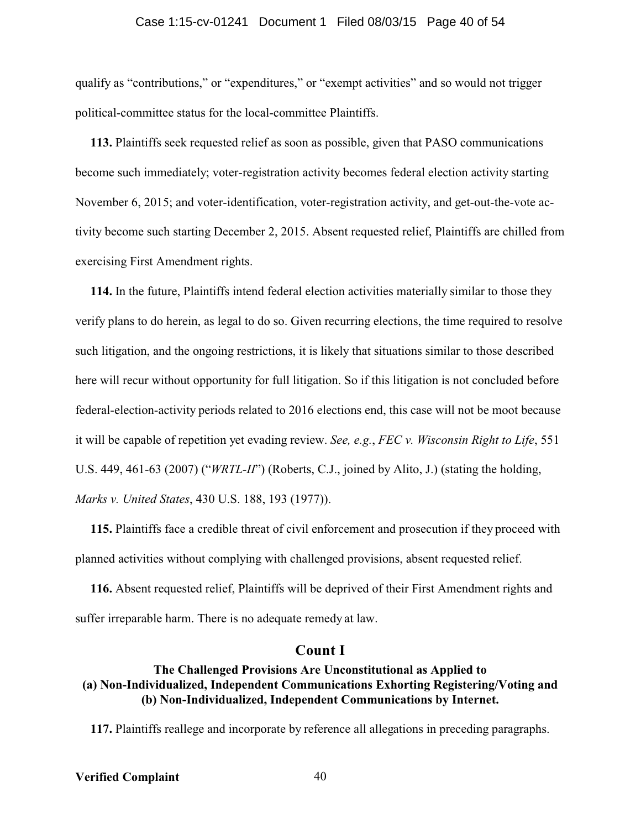#### Case 1:15-cv-01241 Document 1 Filed 08/03/15 Page 40 of 54

qualify as "contributions," or "expenditures," or "exempt activities" and so would not trigger political-committee status for the local-committee Plaintiffs.

**113.** Plaintiffs seek requested relief as soon as possible, given that PASO communications become such immediately; voter-registration activity becomes federal election activity starting November 6, 2015; and voter-identification, voter-registration activity, and get-out-the-vote activity become such starting December 2, 2015. Absent requested relief, Plaintiffs are chilled from exercising First Amendment rights.

**114.** In the future, Plaintiffs intend federal election activities materially similar to those they verify plans to do herein, as legal to do so. Given recurring elections, the time required to resolve such litigation, and the ongoing restrictions, it is likely that situations similar to those described here will recur without opportunity for full litigation. So if this litigation is not concluded before federal-election-activity periods related to 2016 elections end, this case will not be moot because it will be capable of repetition yet evading review. *See, e.g.*, *FEC v. Wisconsin Right to Life*, 551 U.S. 449, 461-63 (2007) ("*WRTL-II*") (Roberts, C.J., joined by Alito, J.) (stating the holding, *Marks v. United States*, 430 U.S. 188, 193 (1977)).

**115.** Plaintiffs face a credible threat of civil enforcement and prosecution if they proceed with planned activities without complying with challenged provisions, absent requested relief.

**116.** Absent requested relief, Plaintiffs will be deprived of their First Amendment rights and suffer irreparable harm. There is no adequate remedy at law.

#### **Count I**

### **The Challenged Provisions Are Unconstitutional as Applied to (a) Non-Individualized, Independent Communications Exhorting Registering/Voting and (b) Non-Individualized, Independent Communications by Internet.**

**117.** Plaintiffs reallege and incorporate by reference all allegations in preceding paragraphs.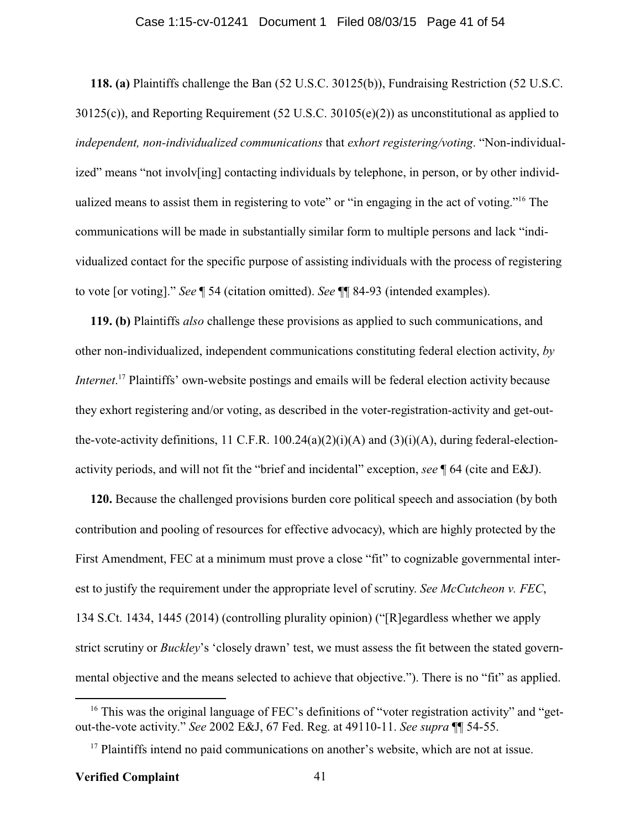#### Case 1:15-cv-01241 Document 1 Filed 08/03/15 Page 41 of 54

**118. (a)** Plaintiffs challenge the Ban (52 U.S.C. 30125(b)), Fundraising Restriction (52 U.S.C. 30125(c)), and Reporting Requirement (52 U.S.C. 30105(e)(2)) as unconstitutional as applied to *independent, non-individualized communications* that *exhort registering/voting*. "Non-individualized" means "not involv[ing] contacting individuals by telephone, in person, or by other individualized means to assist them in registering to vote" or "in engaging in the act of voting."<sup>16</sup> The communications will be made in substantially similar form to multiple persons and lack "individualized contact for the specific purpose of assisting individuals with the process of registering to vote [or voting]." *See* ¶ 54 (citation omitted). *See* ¶¶ 84-93 (intended examples).

**119. (b)** Plaintiffs *also* challenge these provisions as applied to such communications, and other non-individualized, independent communications constituting federal election activity, *by Internet*. <sup>17</sup> Plaintiffs' own-website postings and emails will be federal election activity because they exhort registering and/or voting, as described in the voter-registration-activity and get-outthe-vote-activity definitions, 11 C.F.R.  $100.24(a)(2)(i)(A)$  and  $(3)(i)(A)$ , during federal-electionactivity periods, and will not fit the "brief and incidental" exception, *see* ¶ 64 (cite and E&J).

**120.** Because the challenged provisions burden core political speech and association (by both contribution and pooling of resources for effective advocacy), which are highly protected by the First Amendment, FEC at a minimum must prove a close "fit" to cognizable governmental interest to justify the requirement under the appropriate level of scrutiny. *See McCutcheon v. FEC*, 134 S.Ct. 1434, 1445 (2014) (controlling plurality opinion) ("[R]egardless whether we apply strict scrutiny or *Buckley*'s 'closely drawn' test, we must assess the fit between the stated governmental objective and the means selected to achieve that objective."). There is no "fit" as applied.

<sup>&</sup>lt;sup>16</sup> This was the original language of FEC's definitions of "voter registration activity" and "getout-the-vote activity." *See* 2002 E&J, 67 Fed. Reg. at 49110-11. *See supra* ¶¶ 54-55.

<sup>&</sup>lt;sup>17</sup> Plaintiffs intend no paid communications on another's website, which are not at issue.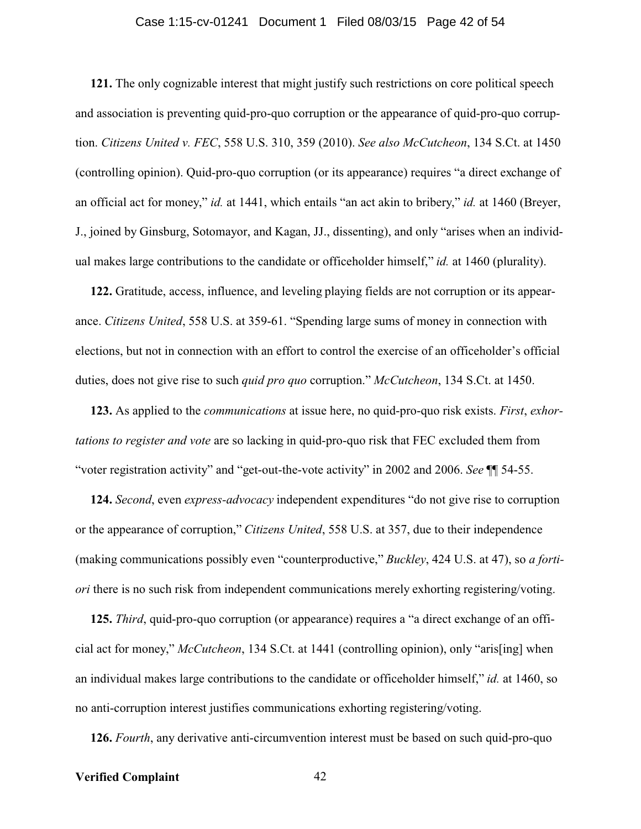#### Case 1:15-cv-01241 Document 1 Filed 08/03/15 Page 42 of 54

**121.** The only cognizable interest that might justify such restrictions on core political speech and association is preventing quid-pro-quo corruption or the appearance of quid-pro-quo corruption. *Citizens United v. FEC*, 558 U.S. 310, 359 (2010). *See also McCutcheon*, 134 S.Ct. at 1450 (controlling opinion). Quid-pro-quo corruption (or its appearance) requires "a direct exchange of an official act for money," *id.* at 1441, which entails "an act akin to bribery," *id.* at 1460 (Breyer, J., joined by Ginsburg, Sotomayor, and Kagan, JJ., dissenting), and only "arises when an individual makes large contributions to the candidate or officeholder himself," *id.* at 1460 (plurality).

**122.** Gratitude, access, influence, and leveling playing fields are not corruption or its appearance. *Citizens United*, 558 U.S. at 359-61. "Spending large sums of money in connection with elections, but not in connection with an effort to control the exercise of an officeholder's official duties, does not give rise to such *quid pro quo* corruption." *McCutcheon*, 134 S.Ct. at 1450.

**123.** As applied to the *communications* at issue here, no quid-pro-quo risk exists. *First*, *exhortations to register and vote* are so lacking in quid-pro-quo risk that FEC excluded them from "voter registration activity" and "get-out-the-vote activity" in 2002 and 2006. *See* ¶¶ 54-55.

**124.** *Second*, even *express-advocacy* independent expenditures "do not give rise to corruption or the appearance of corruption," *Citizens United*, 558 U.S. at 357, due to their independence (making communications possibly even "counterproductive," *Buckley*, 424 U.S. at 47), so *a fortiori* there is no such risk from independent communications merely exhorting registering/voting.

**125.** *Third*, quid-pro-quo corruption (or appearance) requires a "a direct exchange of an official act for money," *McCutcheon*, 134 S.Ct. at 1441 (controlling opinion), only "aris[ing] when an individual makes large contributions to the candidate or officeholder himself," *id.* at 1460, so no anti-corruption interest justifies communications exhorting registering/voting.

**126.** *Fourth*, any derivative anti-circumvention interest must be based on such quid-pro-quo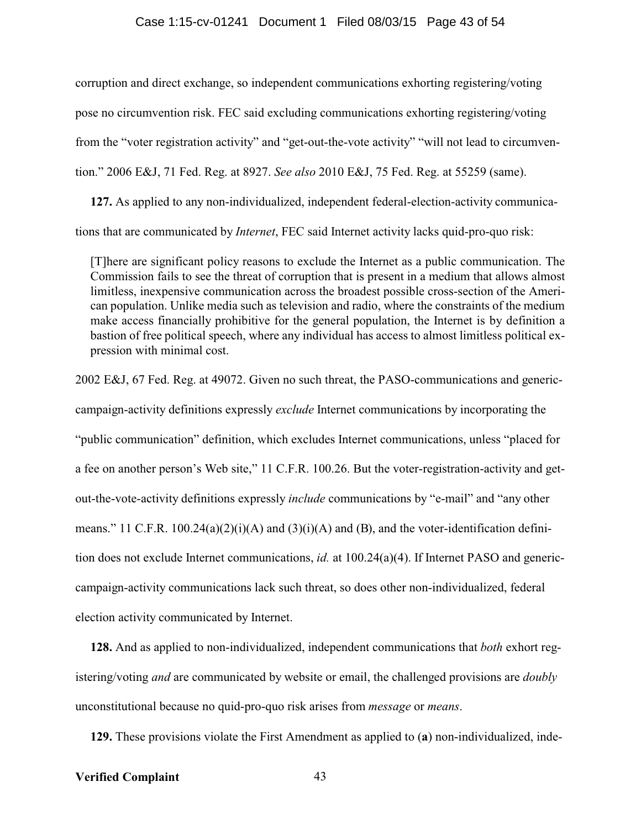#### Case 1:15-cv-01241 Document 1 Filed 08/03/15 Page 43 of 54

corruption and direct exchange, so independent communications exhorting registering/voting pose no circumvention risk. FEC said excluding communications exhorting registering/voting from the "voter registration activity" and "get-out-the-vote activity" "will not lead to circumvention." 2006 E&J, 71 Fed. Reg. at 8927. *See also* 2010 E&J, 75 Fed. Reg. at 55259 (same).

**127.** As applied to any non-individualized, independent federal-election-activity communications that are communicated by *Internet*, FEC said Internet activity lacks quid-pro-quo risk:

[T]here are significant policy reasons to exclude the Internet as a public communication. The Commission fails to see the threat of corruption that is present in a medium that allows almost limitless, inexpensive communication across the broadest possible cross-section of the American population. Unlike media such as television and radio, where the constraints of the medium make access financially prohibitive for the general population, the Internet is by definition a bastion of free political speech, where any individual has access to almost limitless political expression with minimal cost.

2002 E&J, 67 Fed. Reg. at 49072. Given no such threat, the PASO-communications and genericcampaign-activity definitions expressly *exclude* Internet communications by incorporating the "public communication" definition, which excludes Internet communications, unless "placed for a fee on another person's Web site," 11 C.F.R. 100.26. But the voter-registration-activity and getout-the-vote-activity definitions expressly *include* communications by "e-mail" and "any other means." 11 C.F.R. 100.24(a)(2)(i)(A) and (3)(i)(A) and (B), and the voter-identification definition does not exclude Internet communications, *id.* at 100.24(a)(4). If Internet PASO and genericcampaign-activity communications lack such threat, so does other non-individualized, federal election activity communicated by Internet.

**128.** And as applied to non-individualized, independent communications that *both* exhort registering/voting *and* are communicated by website or email, the challenged provisions are *doubly* unconstitutional because no quid-pro-quo risk arises from *message* or *means*.

**129.** These provisions violate the First Amendment as applied to (**a**) non-individualized, inde-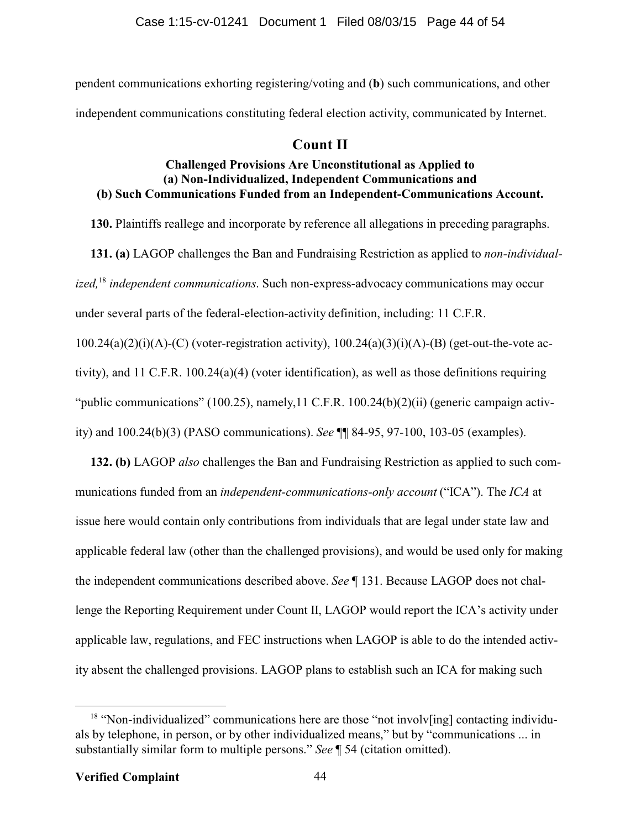pendent communications exhorting registering/voting and (**b**) such communications, and other independent communications constituting federal election activity, communicated by Internet.

## **Count II**

### **Challenged Provisions Are Unconstitutional as Applied to (a) Non-Individualized, Independent Communications and (b) Such Communications Funded from an Independent-Communications Account.**

**130.** Plaintiffs reallege and incorporate by reference all allegations in preceding paragraphs.

**131. (a)** LAGOP challenges the Ban and Fundraising Restriction as applied to *non-individualized,*<sup>18</sup>  *independent communications*. Such non-express-advocacy communications may occur under several parts of the federal-election-activity definition, including: 11 C.F.R.  $100.24(a)(2)(i)(A)-(C)$  (voter-registration activity),  $100.24(a)(3)(i)(A)-(B)$  (get-out-the-vote activity), and 11 C.F.R. 100.24(a)(4) (voter identification), as well as those definitions requiring "public communications" (100.25), namely, 11 C.F.R. 100.24(b)(2)(ii) (generic campaign activ-

ity) and 100.24(b)(3) (PASO communications). *See* ¶¶ 84-95, 97-100, 103-05 (examples).

**132. (b)** LAGOP *also* challenges the Ban and Fundraising Restriction as applied to such communications funded from an *independent-communications-only account* ("ICA"). The *ICA* at issue here would contain only contributions from individuals that are legal under state law and applicable federal law (other than the challenged provisions), and would be used only for making the independent communications described above. *See* ¶ 131. Because LAGOP does not challenge the Reporting Requirement under Count II, LAGOP would report the ICA's activity under applicable law, regulations, and FEC instructions when LAGOP is able to do the intended activity absent the challenged provisions. LAGOP plans to establish such an ICA for making such

<sup>&</sup>lt;sup>18</sup> "Non-individualized" communications here are those "not involv[ing] contacting individuals by telephone, in person, or by other individualized means," but by "communications ... in substantially similar form to multiple persons." *See* ¶ 54 (citation omitted).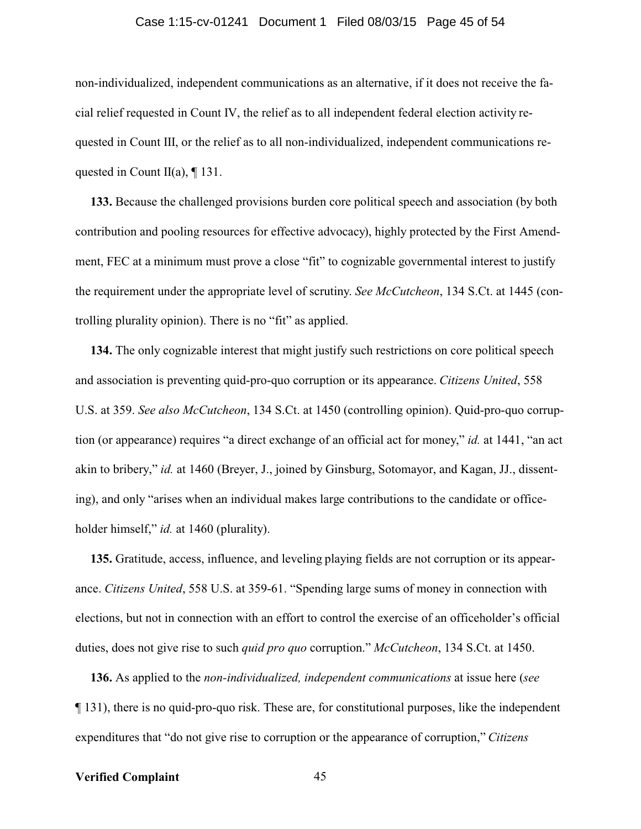#### Case 1:15-cv-01241 Document 1 Filed 08/03/15 Page 45 of 54

non-individualized, independent communications as an alternative, if it does not receive the facial relief requested in Count IV, the relief as to all independent federal election activity requested in Count III, or the relief as to all non-individualized, independent communications requested in Count II(a),  $\P$  131.

**133.** Because the challenged provisions burden core political speech and association (by both contribution and pooling resources for effective advocacy), highly protected by the First Amendment, FEC at a minimum must prove a close "fit" to cognizable governmental interest to justify the requirement under the appropriate level of scrutiny. *See McCutcheon*, 134 S.Ct. at 1445 (controlling plurality opinion). There is no "fit" as applied.

**134.** The only cognizable interest that might justify such restrictions on core political speech and association is preventing quid-pro-quo corruption or its appearance. *Citizens United*, 558 U.S. at 359. *See also McCutcheon*, 134 S.Ct. at 1450 (controlling opinion). Quid-pro-quo corruption (or appearance) requires "a direct exchange of an official act for money," *id.* at 1441, "an act akin to bribery," *id.* at 1460 (Breyer, J., joined by Ginsburg, Sotomayor, and Kagan, JJ., dissenting), and only "arises when an individual makes large contributions to the candidate or officeholder himself," *id.* at 1460 (plurality).

**135.** Gratitude, access, influence, and leveling playing fields are not corruption or its appearance. *Citizens United*, 558 U.S. at 359-61. "Spending large sums of money in connection with elections, but not in connection with an effort to control the exercise of an officeholder's official duties, does not give rise to such *quid pro quo* corruption." *McCutcheon*, 134 S.Ct. at 1450.

**136.** As applied to the *non-individualized, independent communications* at issue here (*see* ¶ 131), there is no quid-pro-quo risk. These are, for constitutional purposes, like the independent expenditures that "do not give rise to corruption or the appearance of corruption," *Citizens*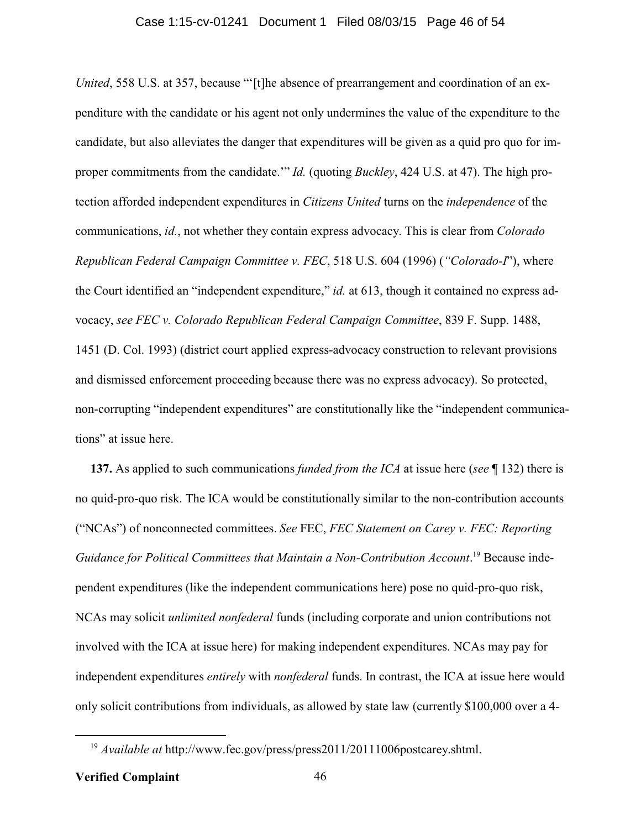*United*, 558 U.S. at 357, because "'[t]he absence of prearrangement and coordination of an expenditure with the candidate or his agent not only undermines the value of the expenditure to the candidate, but also alleviates the danger that expenditures will be given as a quid pro quo for improper commitments from the candidate.'" *Id.* (quoting *Buckley*, 424 U.S. at 47). The high protection afforded independent expenditures in *Citizens United* turns on the *independence* of the communications, *id.*, not whether they contain express advocacy. This is clear from *Colorado Republican Federal Campaign Committee v. FEC*, 518 U.S. 604 (1996) (*"Colorado-I*"), where the Court identified an "independent expenditure," *id.* at 613, though it contained no express advocacy, *see FEC v. Colorado Republican Federal Campaign Committee*, 839 F. Supp. 1488, 1451 (D. Col. 1993) (district court applied express-advocacy construction to relevant provisions and dismissed enforcement proceeding because there was no express advocacy). So protected, non-corrupting "independent expenditures" are constitutionally like the "independent communications" at issue here.

**137.** As applied to such communications *funded from the ICA* at issue here (*see* ¶ 132) there is no quid-pro-quo risk. The ICA would be constitutionally similar to the non-contribution accounts ("NCAs") of nonconnected committees. *See* FEC, *FEC Statement on Carey v. FEC: Reporting* Guidance for Political Committees that Maintain a Non-Contribution Account.<sup>19</sup> Because independent expenditures (like the independent communications here) pose no quid-pro-quo risk, NCAs may solicit *unlimited nonfederal* funds (including corporate and union contributions not involved with the ICA at issue here) for making independent expenditures. NCAs may pay for independent expenditures *entirely* with *nonfederal* funds. In contrast, the ICA at issue here would only solicit contributions from individuals, as allowed by state law (currently \$100,000 over a 4-

<sup>&</sup>lt;sup>19</sup> *Available at* http://www.fec.gov/press/press2011/20111006postcarey.shtml.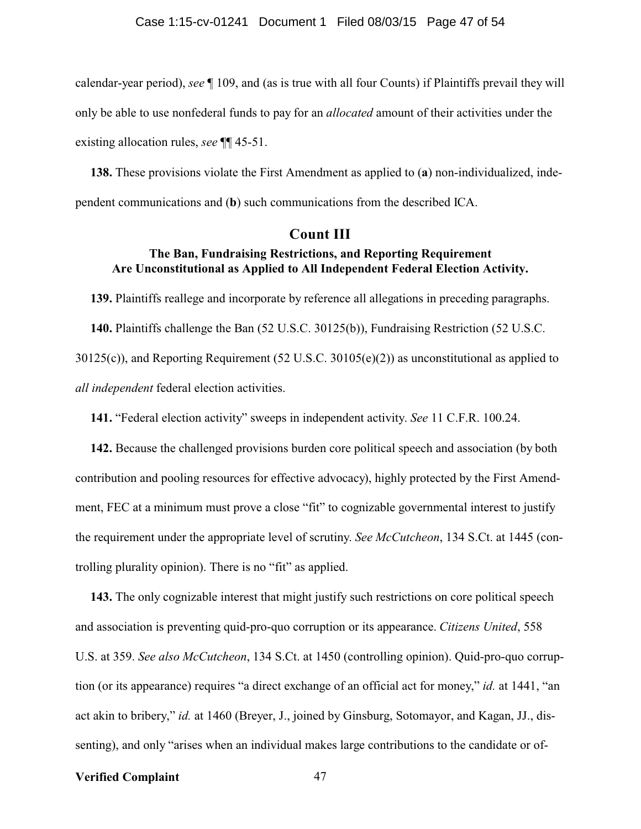calendar-year period), *see* ¶ 109, and (as is true with all four Counts) if Plaintiffs prevail they will only be able to use nonfederal funds to pay for an *allocated* amount of their activities under the existing allocation rules, *see* ¶¶ 45-51.

**138.** These provisions violate the First Amendment as applied to (**a**) non-individualized, independent communications and (**b**) such communications from the described ICA.

### **Count III**

### **The Ban, Fundraising Restrictions, and Reporting Requirement Are Unconstitutional as Applied to All Independent Federal Election Activity.**

**139.** Plaintiffs reallege and incorporate by reference all allegations in preceding paragraphs. **140.** Plaintiffs challenge the Ban (52 U.S.C. 30125(b)), Fundraising Restriction (52 U.S.C. 30125(c)), and Reporting Requirement (52 U.S.C. 30105(e)(2)) as unconstitutional as applied to *all independent* federal election activities.

**141.** "Federal election activity" sweeps in independent activity. *See* 11 C.F.R. 100.24.

**142.** Because the challenged provisions burden core political speech and association (by both contribution and pooling resources for effective advocacy), highly protected by the First Amendment, FEC at a minimum must prove a close "fit" to cognizable governmental interest to justify the requirement under the appropriate level of scrutiny. *See McCutcheon*, 134 S.Ct. at 1445 (controlling plurality opinion). There is no "fit" as applied.

**143.** The only cognizable interest that might justify such restrictions on core political speech and association is preventing quid-pro-quo corruption or its appearance. *Citizens United*, 558 U.S. at 359. *See also McCutcheon*, 134 S.Ct. at 1450 (controlling opinion). Quid-pro-quo corruption (or its appearance) requires "a direct exchange of an official act for money," *id.* at 1441, "an act akin to bribery," *id.* at 1460 (Breyer, J., joined by Ginsburg, Sotomayor, and Kagan, JJ., dissenting), and only "arises when an individual makes large contributions to the candidate or of-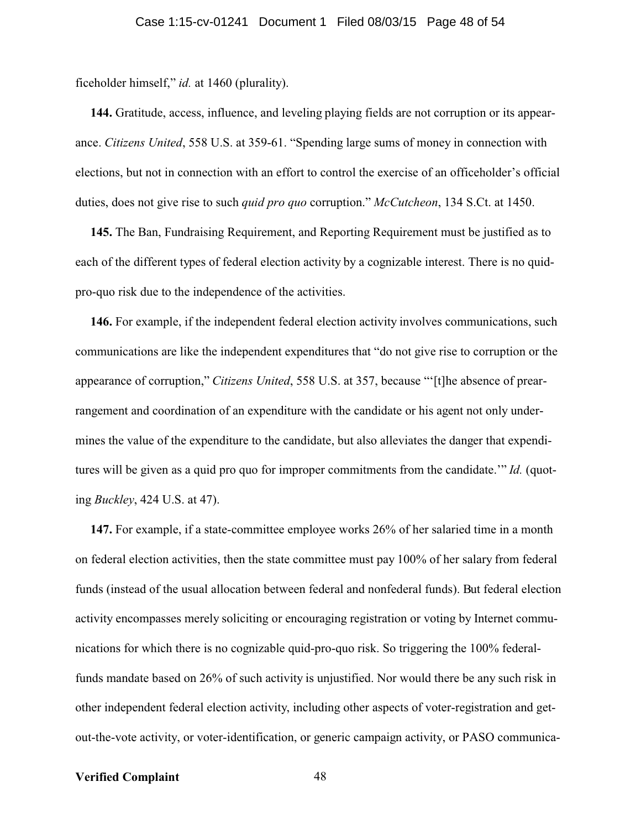ficeholder himself," *id.* at 1460 (plurality).

**144.** Gratitude, access, influence, and leveling playing fields are not corruption or its appearance. *Citizens United*, 558 U.S. at 359-61. "Spending large sums of money in connection with elections, but not in connection with an effort to control the exercise of an officeholder's official duties, does not give rise to such *quid pro quo* corruption." *McCutcheon*, 134 S.Ct. at 1450.

**145.** The Ban, Fundraising Requirement, and Reporting Requirement must be justified as to each of the different types of federal election activity by a cognizable interest. There is no quidpro-quo risk due to the independence of the activities.

**146.** For example, if the independent federal election activity involves communications, such communications are like the independent expenditures that "do not give rise to corruption or the appearance of corruption," *Citizens United*, 558 U.S. at 357, because "'[t]he absence of prearrangement and coordination of an expenditure with the candidate or his agent not only undermines the value of the expenditure to the candidate, but also alleviates the danger that expenditures will be given as a quid pro quo for improper commitments from the candidate.'" *Id.* (quoting *Buckley*, 424 U.S. at 47).

**147.** For example, if a state-committee employee works 26% of her salaried time in a month on federal election activities, then the state committee must pay 100% of her salary from federal funds (instead of the usual allocation between federal and nonfederal funds). But federal election activity encompasses merely soliciting or encouraging registration or voting by Internet communications for which there is no cognizable quid-pro-quo risk. So triggering the 100% federalfunds mandate based on 26% of such activity is unjustified. Nor would there be any such risk in other independent federal election activity, including other aspects of voter-registration and getout-the-vote activity, or voter-identification, or generic campaign activity, or PASO communica-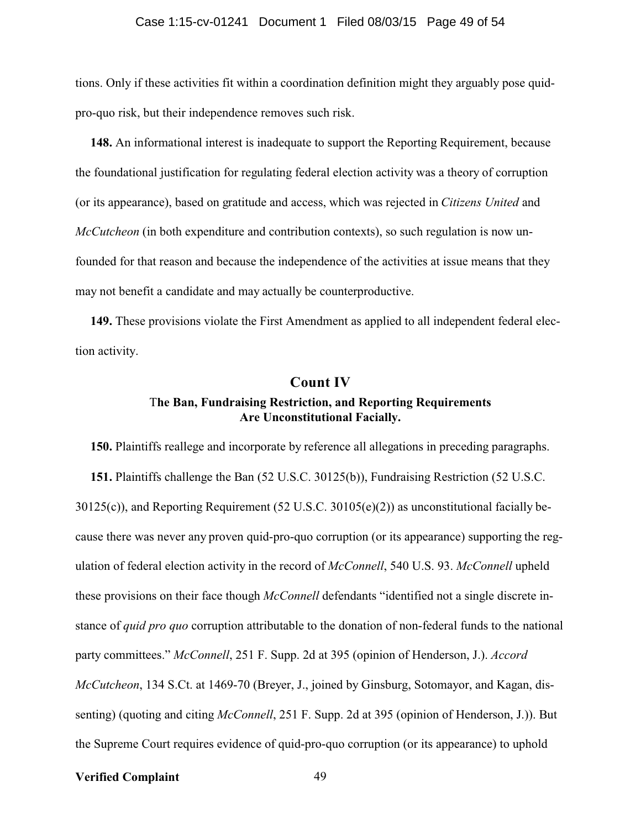#### Case 1:15-cv-01241 Document 1 Filed 08/03/15 Page 49 of 54

tions. Only if these activities fit within a coordination definition might they arguably pose quidpro-quo risk, but their independence removes such risk.

**148.** An informational interest is inadequate to support the Reporting Requirement, because the foundational justification for regulating federal election activity was a theory of corruption (or its appearance), based on gratitude and access, which was rejected in *Citizens United* and *McCutcheon* (in both expenditure and contribution contexts), so such regulation is now unfounded for that reason and because the independence of the activities at issue means that they may not benefit a candidate and may actually be counterproductive.

**149.** These provisions violate the First Amendment as applied to all independent federal election activity.

### **Count IV**

### T**he Ban, Fundraising Restriction, and Reporting Requirements Are Unconstitutional Facially.**

**150.** Plaintiffs reallege and incorporate by reference all allegations in preceding paragraphs. **151.** Plaintiffs challenge the Ban (52 U.S.C. 30125(b)), Fundraising Restriction (52 U.S.C. 30125(c)), and Reporting Requirement (52 U.S.C. 30105(e)(2)) as unconstitutional facially because there was never any proven quid-pro-quo corruption (or its appearance) supporting the regulation of federal election activity in the record of *McConnell*, 540 U.S. 93. *McConnell* upheld these provisions on their face though *McConnell* defendants "identified not a single discrete instance of *quid pro quo* corruption attributable to the donation of non-federal funds to the national party committees." *McConnell*, 251 F. Supp. 2d at 395 (opinion of Henderson, J.). *Accord McCutcheon*, 134 S.Ct. at 1469-70 (Breyer, J., joined by Ginsburg, Sotomayor, and Kagan, dissenting) (quoting and citing *McConnell*, 251 F. Supp. 2d at 395 (opinion of Henderson, J.)). But the Supreme Court requires evidence of quid-pro-quo corruption (or its appearance) to uphold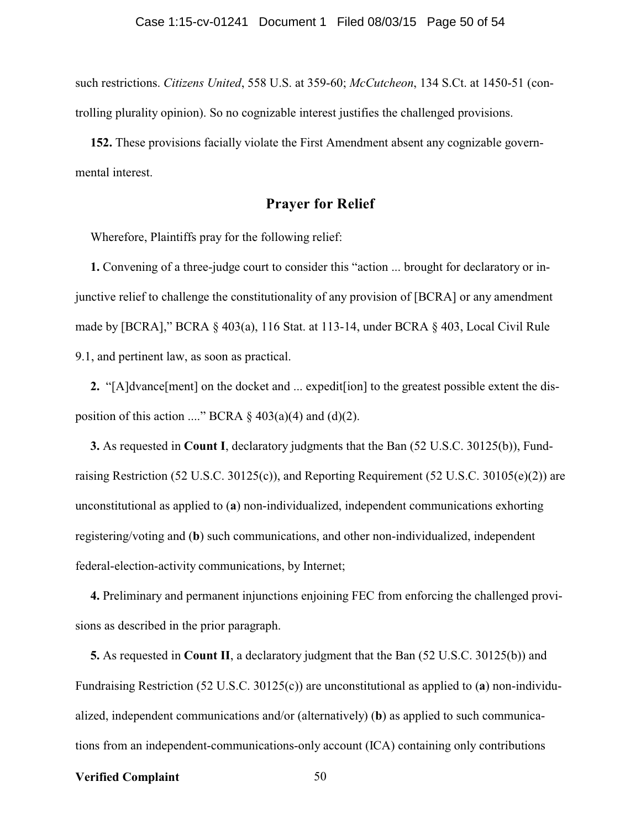such restrictions. *Citizens United*, 558 U.S. at 359-60; *McCutcheon*, 134 S.Ct. at 1450-51 (controlling plurality opinion). So no cognizable interest justifies the challenged provisions.

**152.** These provisions facially violate the First Amendment absent any cognizable governmental interest.

### **Prayer for Relief**

Wherefore, Plaintiffs pray for the following relief:

**1.** Convening of a three-judge court to consider this "action ... brought for declaratory or injunctive relief to challenge the constitutionality of any provision of [BCRA] or any amendment made by [BCRA]," BCRA § 403(a), 116 Stat. at 113-14, under BCRA § 403, Local Civil Rule 9.1, and pertinent law, as soon as practical.

**2.** "[A]dvance[ment] on the docket and ... expedit[ion] to the greatest possible extent the disposition of this action ...." BCRA  $\S$  403(a)(4) and (d)(2).

**3.** As requested in **Count I**, declaratory judgments that the Ban (52 U.S.C. 30125(b)), Fundraising Restriction (52 U.S.C. 30125(c)), and Reporting Requirement (52 U.S.C. 30105(e)(2)) are unconstitutional as applied to (**a**) non-individualized, independent communications exhorting registering/voting and (**b**) such communications, and other non-individualized, independent federal-election-activity communications, by Internet;

**4.** Preliminary and permanent injunctions enjoining FEC from enforcing the challenged provisions as described in the prior paragraph.

**5.** As requested in **Count II**, a declaratory judgment that the Ban (52 U.S.C. 30125(b)) and Fundraising Restriction (52 U.S.C. 30125(c)) are unconstitutional as applied to (**a**) non-individualized, independent communications and/or (alternatively) (**b**) as applied to such communications from an independent-communications-only account (ICA) containing only contributions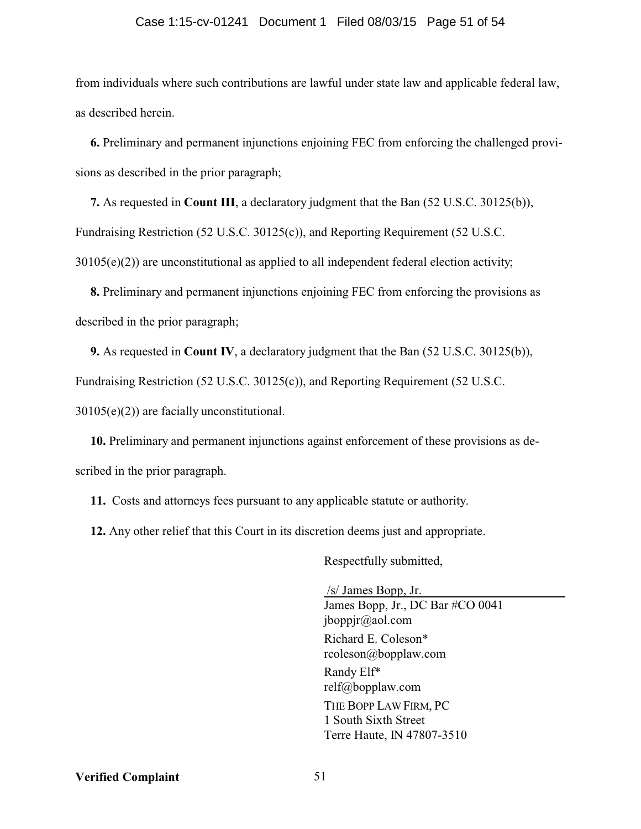#### Case 1:15-cv-01241 Document 1 Filed 08/03/15 Page 51 of 54

from individuals where such contributions are lawful under state law and applicable federal law, as described herein.

**6.** Preliminary and permanent injunctions enjoining FEC from enforcing the challenged provisions as described in the prior paragraph;

**7.** As requested in **Count III**, a declaratory judgment that the Ban (52 U.S.C. 30125(b)), Fundraising Restriction (52 U.S.C. 30125(c)), and Reporting Requirement (52 U.S.C.  $30105(e)(2)$ ) are unconstitutional as applied to all independent federal election activity;

**8.** Preliminary and permanent injunctions enjoining FEC from enforcing the provisions as described in the prior paragraph;

**9.** As requested in **Count IV**, a declaratory judgment that the Ban (52 U.S.C. 30125(b)),

Fundraising Restriction (52 U.S.C. 30125(c)), and Reporting Requirement (52 U.S.C.

30105(e)(2)) are facially unconstitutional.

**10.** Preliminary and permanent injunctions against enforcement of these provisions as described in the prior paragraph.

**11.** Costs and attorneys fees pursuant to any applicable statute or authority.

**12.** Any other relief that this Court in its discretion deems just and appropriate.

Respectfully submitted,

/s/ James Bopp, Jr. James Bopp, Jr., DC Bar #CO 0041 jboppjr@aol.com Richard E. Coleson\* rcoleson@bopplaw.com Randy Elf\* relf@bopplaw.com THE BOPP LAW FIRM, PC 1 South Sixth Street Terre Haute, IN 47807-3510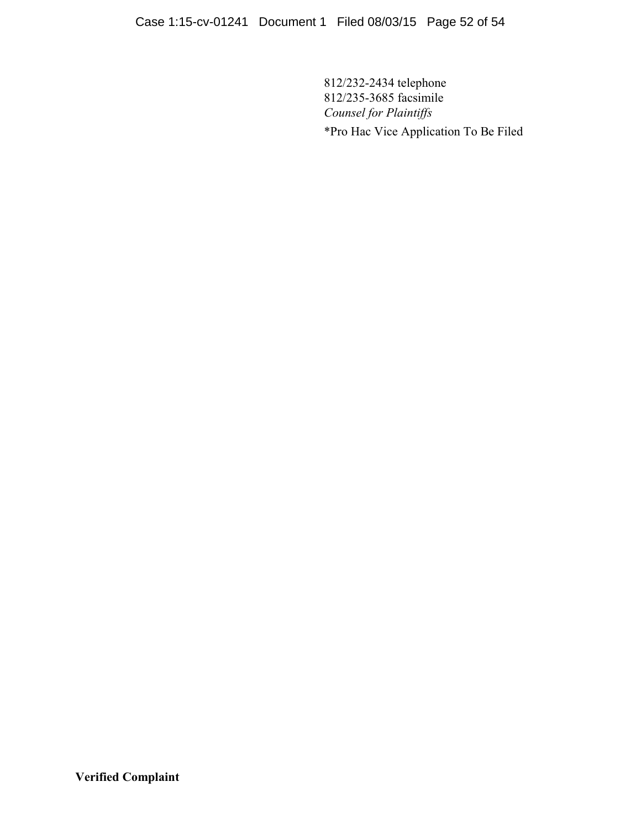812/232-2434 telephone 812/235-3685 facsimile *Counsel for Plaintiffs* \*Pro Hac Vice Application To Be Filed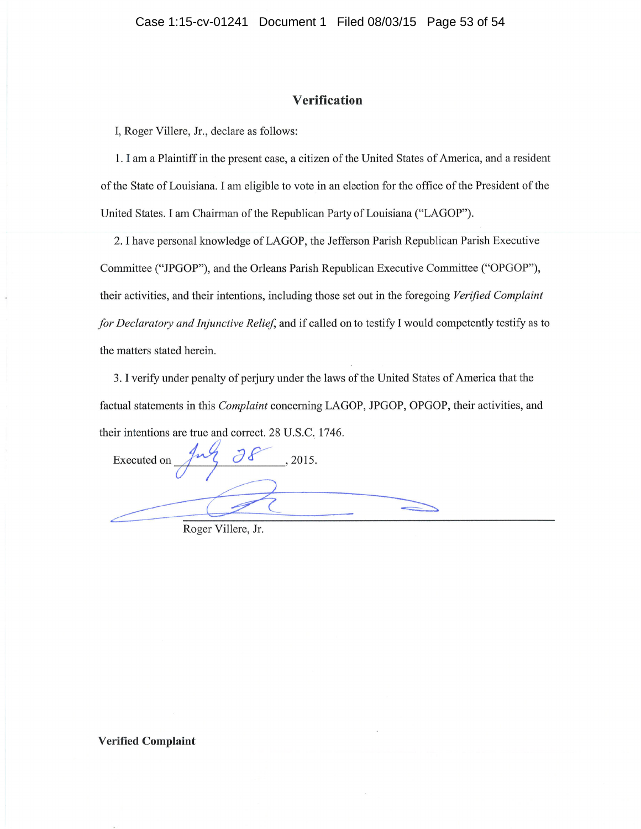### Verifïcation

I, Roger Villere, Jr., declare as follows:

1. I am a Plaintiff in the present case, a citizen of the United States of America, and a resident of the State of Louisiana. I am eligible to vote in an election for the office of the President of the United States. I am Chairman of the Republican Party of Louisiana ("LAGOP").

2.lhave personal knowledge of LAGOP, the Jefferson Parish Republican Parish Executive Committee ("JPGOP"), and the Orleans Parish Republican Executive Committee ("OPGOP"), their activities, and their intentions, including those set out in the foregoing Verified Complaint for Declaratory and Injunctive Relief, and if called on to testify I would competently testify as to the matters stated herein.

3. I verify under penalty of perjury under the laws of the United States of America that the factual statements in this Complaint concerning LAGOP, JPGOP, OPGOP, their activities, and their intentions are true and correct. 28 U.S.C. 1746.

Executed on  $\frac{9}{5}$   $\frac{38}{100}$ , 2015.

Roger Villere, Jr.